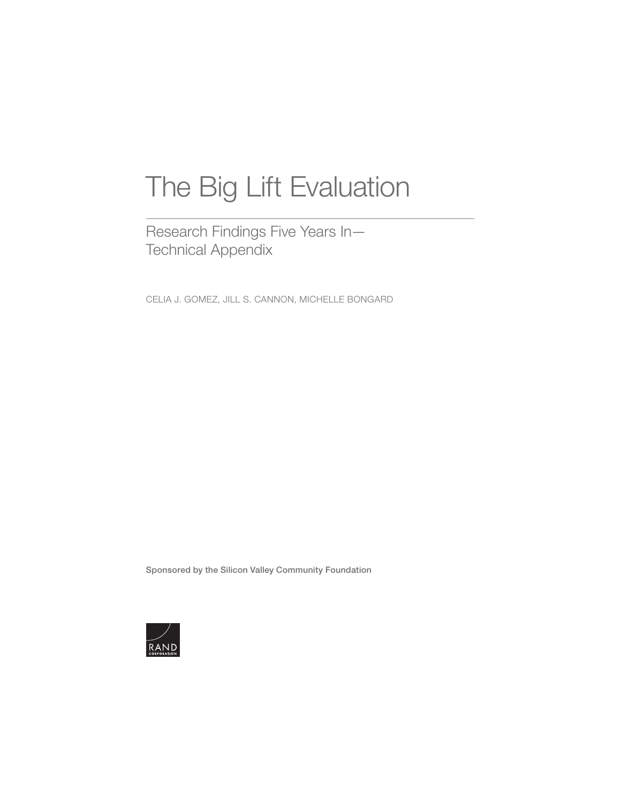# [The Big Lift Evaluation](https://www.rand.org/pubs/research_reports/RRA1411-1.html)

Research Findings Five Years In— Technical Appendix

CELIA J. GOMEZ, JILL S. CANNON, MICHELLE BONGARD

Sponsored by the Silicon Valley Community Foundation

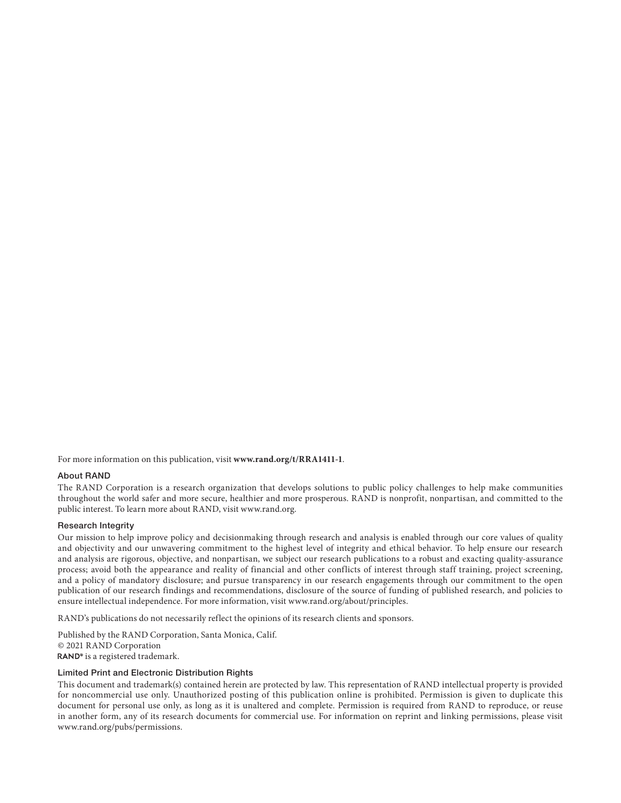For more information on this publication, visit **[www.rand.org/t/RRA1411-1](http://www.rand.org/t/RRA1411-1)**.

#### About RAND

The RAND Corporation is a research organization that develops solutions to public policy challenges to help make communities throughout the world safer and more secure, healthier and more prosperous. RAND is nonprofit, nonpartisan, and committed to the public interest. To learn more about RAND, visit [www.rand.org.](http://www.rand.org)

#### Research Integrity

Our mission to help improve policy and decisionmaking through research and analysis is enabled through our core values of quality and objectivity and our unwavering commitment to the highest level of integrity and ethical behavior. To help ensure our research and analysis are rigorous, objective, and nonpartisan, we subject our research publications to a robust and exacting quality-assurance process; avoid both the appearance and reality of financial and other conflicts of interest through staff training, project screening, and a policy of mandatory disclosure; and pursue transparency in our research engagements through our commitment to the open publication of our research findings and recommendations, disclosure of the source of funding of published research, and policies to ensure intellectual independence. For more information, visit [www.rand.org/about/principles](http://www.rand.org/about/principles).

RAND's publications do not necessarily reflect the opinions of its research clients and sponsors.

Published by the RAND Corporation, Santa Monica, Calif. © 2021 RAND Corporation RAND<sup>®</sup> is a registered trademark.

#### Limited Print and Electronic Distribution Rights

This document and trademark(s) contained herein are protected by law. This representation of RAND intellectual property is provided for noncommercial use only. Unauthorized posting of this publication online is prohibited. Permission is given to duplicate this document for personal use only, as long as it is unaltered and complete. Permission is required from RAND to reproduce, or reuse in another form, any of its research documents for commercial use. For information on reprint and linking permissions, please visit [www.rand.org/pubs/permissions.](http://www.rand.org/pubs/permissions)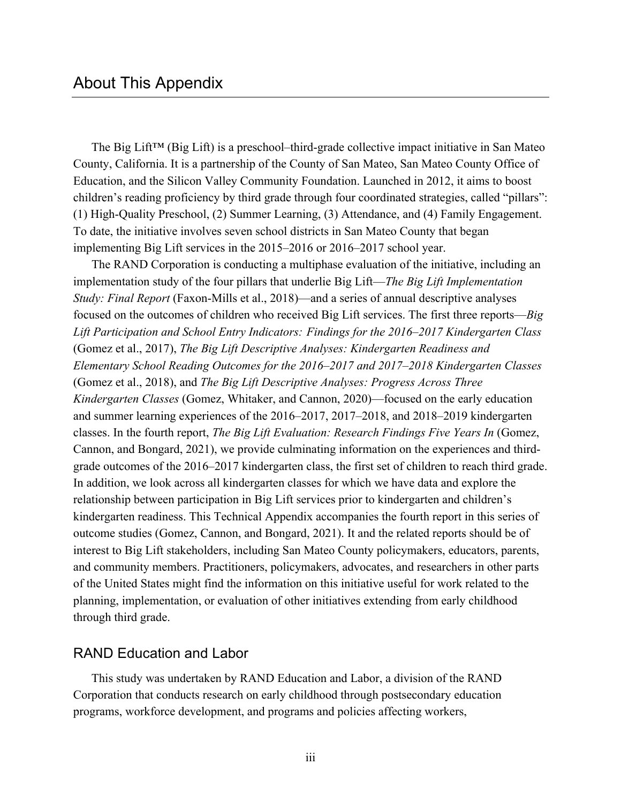The Big Lift™ (Big Lift) is a preschool–third-grade collective impact initiative in San Mateo County, California. It is a partnership of the County of San Mateo, San Mateo County Office of Education, and the Silicon Valley Community Foundation. Launched in 2012, it aims to boost children's reading proficiency by third grade through four coordinated strategies, called "pillars": (1) High-Quality Preschool, (2) Summer Learning, (3) Attendance, and (4) Family Engagement. To date, the initiative involves seven school districts in San Mateo County that began implementing Big Lift services in the 2015–2016 or 2016–2017 school year.

The RAND Corporation is conducting a multiphase evaluation of the initiative, including an implementation study of the four pillars that underlie Big Lift—*The Big Lift Implementation Study: Final Report* (Faxon-Mills et al., 2018)—and a series of annual descriptive analyses focused on the outcomes of children who received Big Lift services. The first three reports—*Big Lift Participation and School Entry Indicators: Findings for the 2016–2017 Kindergarten Class*  (Gomez et al., 2017), *The Big Lift Descriptive Analyses: Kindergarten Readiness and Elementary School Reading Outcomes for the 2016–2017 and 2017–2018 Kindergarten Classes*  (Gomez et al., 2018), and *The Big Lift Descriptive Analyses: Progress Across Three Kindergarten Classes* (Gomez, Whitaker, and Cannon, 2020)—focused on the early education and summer learning experiences of the 2016–2017, 2017–2018, and 2018–2019 kindergarten classes. In the fourth report, *The Big Lift Evaluation: Research Findings Five Years In* (Gomez, Cannon, and Bongard, 2021), we provide culminating information on the experiences and thirdgrade outcomes of the 2016–2017 kindergarten class, the first set of children to reach third grade. In addition, we look across all kindergarten classes for which we have data and explore the relationship between participation in Big Lift services prior to kindergarten and children's kindergarten readiness. This Technical Appendix accompanies the fourth report in this series of outcome studies (Gomez, Cannon, and Bongard, 2021). It and the related reports should be of interest to Big Lift stakeholders, including San Mateo County policymakers, educators, parents, and community members. Practitioners, policymakers, advocates, and researchers in other parts of the United States might find the information on this initiative useful for work related to the planning, implementation, or evaluation of other initiatives extending from early childhood through third grade.

# RAND Education and Labor

This study was undertaken by RAND Education and Labor, a division of the RAND Corporation that conducts research on early childhood through postsecondary education programs, workforce development, and programs and policies affecting workers,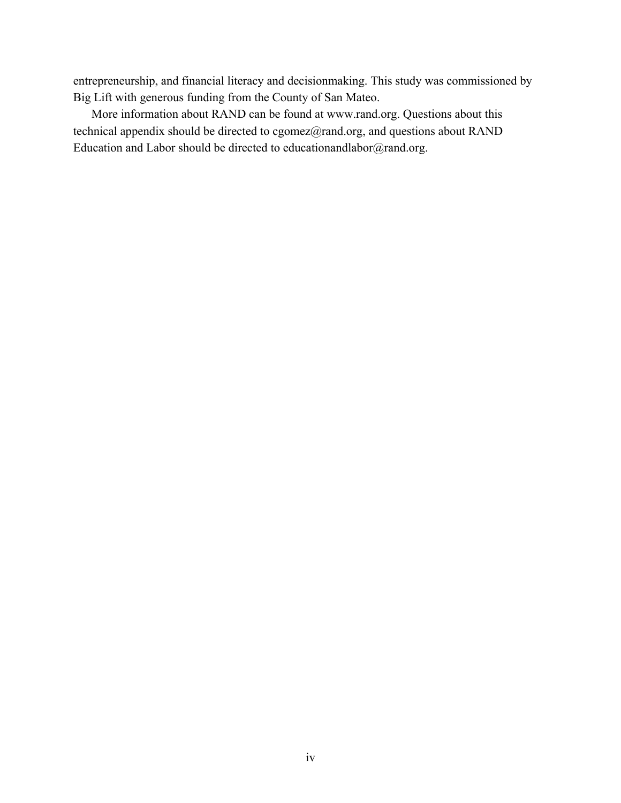entrepreneurship, and financial literacy and decisionmaking. This study was commissioned by Big Lift with generous funding from the County of San Mateo.

More information about RAND can be found at [www.rand.org.](http://www.rand.org) Questions about this technical appendix should be directed to [cgomez@rand.org,](mailto:cgomez@rand.org) and questions about RAND Education and Labor should be directed to [educationandlabor@rand.org](mailto:educationandlabor@rand.org).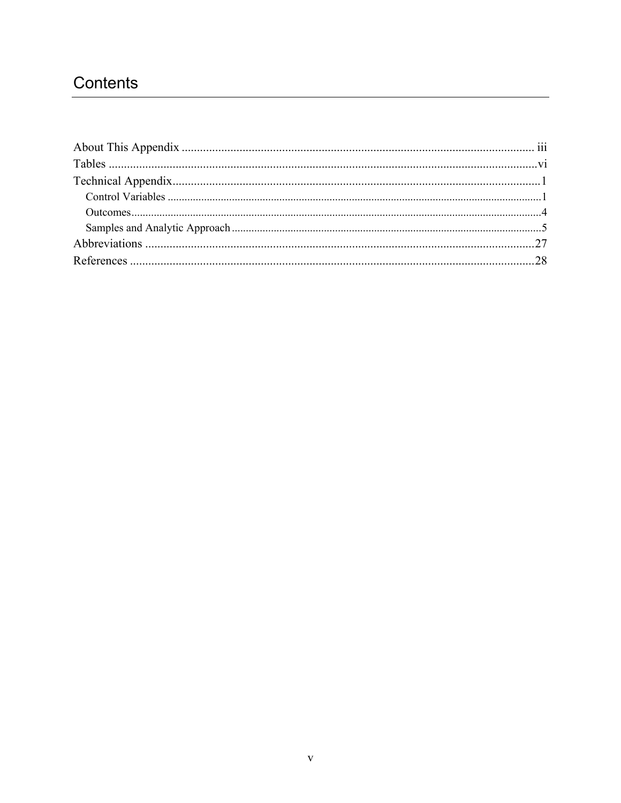# Contents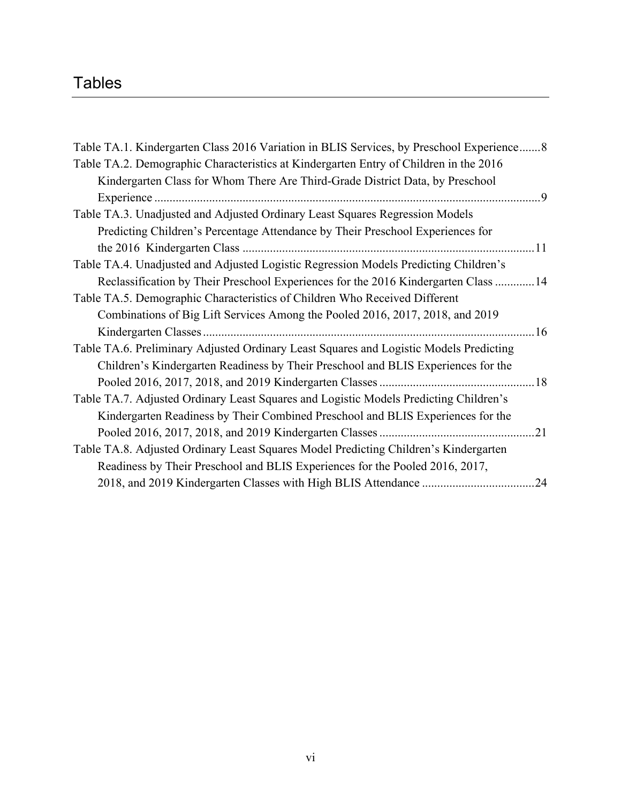# **Tables**

| Table TA.1. Kindergarten Class 2016 Variation in BLIS Services, by Preschool Experience 8 |     |
|-------------------------------------------------------------------------------------------|-----|
| Table TA.2. Demographic Characteristics at Kindergarten Entry of Children in the 2016     |     |
| Kindergarten Class for Whom There Are Third-Grade District Data, by Preschool             |     |
|                                                                                           |     |
| Table TA.3. Unadjusted and Adjusted Ordinary Least Squares Regression Models              |     |
| Predicting Children's Percentage Attendance by Their Preschool Experiences for            |     |
|                                                                                           |     |
| Table TA.4. Unadjusted and Adjusted Logistic Regression Models Predicting Children's      |     |
| Reclassification by Their Preschool Experiences for the 2016 Kindergarten Class  14       |     |
| Table TA.5. Demographic Characteristics of Children Who Received Different                |     |
| Combinations of Big Lift Services Among the Pooled 2016, 2017, 2018, and 2019             |     |
|                                                                                           |     |
| Table TA.6. Preliminary Adjusted Ordinary Least Squares and Logistic Models Predicting    |     |
| Children's Kindergarten Readiness by Their Preschool and BLIS Experiences for the         |     |
|                                                                                           |     |
| Table TA.7. Adjusted Ordinary Least Squares and Logistic Models Predicting Children's     |     |
| Kindergarten Readiness by Their Combined Preschool and BLIS Experiences for the           |     |
|                                                                                           |     |
| Table TA.8. Adjusted Ordinary Least Squares Model Predicting Children's Kindergarten      |     |
| Readiness by Their Preschool and BLIS Experiences for the Pooled 2016, 2017,              |     |
|                                                                                           | .24 |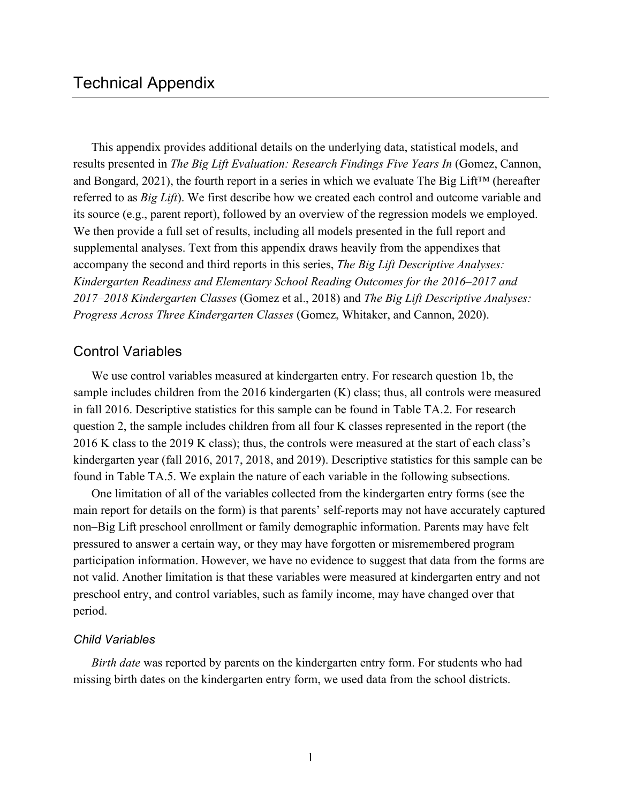This appendix provides additional details on the underlying data, statistical models, and results presented in *The Big Lift Evaluation: Research Findings Five Years In* (Gomez, Cannon, and Bongard, 2021), the fourth report in a series in which we evaluate The Big Lift™ (hereafter referred to as *Big Lift*). We first describe how we created each control and outcome variable and its source (e.g., parent report), followed by an overview of the regression models we employed. We then provide a full set of results, including all models presented in the full report and supplemental analyses. Text from this appendix draws heavily from the appendixes that accompany the second and third reports in this series, *The Big Lift Descriptive Analyses: Kindergarten Readiness and Elementary School Reading Outcomes for the 2016–2017 and 2017–2018 Kindergarten Classes* (Gomez et al., 2018) and *The Big Lift Descriptive Analyses: Progress Across Three Kindergarten Classes* (Gomez, Whitaker, and Cannon, 2020).

# Control Variables

We use control variables measured at kindergarten entry. For research question 1b, the sample includes children from the 2016 kindergarten (K) class; thus, all controls were measured in fall 2016. Descriptive statistics for this sample can be found in Table TA.2. For research question 2, the sample includes children from all four K classes represented in the report (the 2016 K class to the 2019 K class); thus, the controls were measured at the start of each class's kindergarten year (fall 2016, 2017, 2018, and 2019). Descriptive statistics for this sample can be found in Table TA.5. We explain the nature of each variable in the following subsections.

One limitation of all of the variables collected from the kindergarten entry forms (see the main report for details on the form) is that parents' self-reports may not have accurately captured non–Big Lift preschool enrollment or family demographic information. Parents may have felt pressured to answer a certain way, or they may have forgotten or misremembered program participation information. However, we have no evidence to suggest that data from the forms are not valid. Another limitation is that these variables were measured at kindergarten entry and not preschool entry, and control variables, such as family income, may have changed over that period.

#### *Child Variables*

*Birth date* was reported by parents on the kindergarten entry form. For students who had missing birth dates on the kindergarten entry form, we used data from the school districts.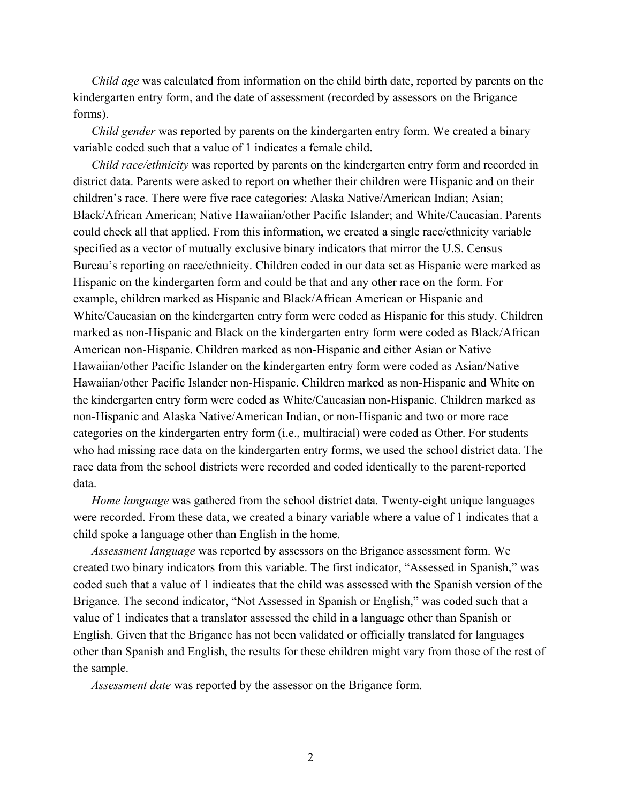*Child age* was calculated from information on the child birth date, reported by parents on the kindergarten entry form, and the date of assessment (recorded by assessors on the Brigance forms).

*Child gender* was reported by parents on the kindergarten entry form. We created a binary variable coded such that a value of 1 indicates a female child.

*Child race/ethnicity* was reported by parents on the kindergarten entry form and recorded in district data. Parents were asked to report on whether their children were Hispanic and on their children's race. There were five race categories: Alaska Native/American Indian; Asian; Black/African American; Native Hawaiian/other Pacific Islander; and White/Caucasian. Parents could check all that applied. From this information, we created a single race/ethnicity variable specified as a vector of mutually exclusive binary indicators that mirror the U.S. Census Bureau's reporting on race/ethnicity. Children coded in our data set as Hispanic were marked as Hispanic on the kindergarten form and could be that and any other race on the form. For example, children marked as Hispanic and Black/African American or Hispanic and White/Caucasian on the kindergarten entry form were coded as Hispanic for this study. Children marked as non-Hispanic and Black on the kindergarten entry form were coded as Black/African American non-Hispanic. Children marked as non-Hispanic and either Asian or Native Hawaiian/other Pacific Islander on the kindergarten entry form were coded as Asian/Native Hawaiian/other Pacific Islander non-Hispanic. Children marked as non-Hispanic and White on the kindergarten entry form were coded as White/Caucasian non-Hispanic. Children marked as non-Hispanic and Alaska Native/American Indian, or non-Hispanic and two or more race categories on the kindergarten entry form (i.e., multiracial) were coded as Other. For students who had missing race data on the kindergarten entry forms, we used the school district data. The race data from the school districts were recorded and coded identically to the parent-reported data.

*Home language* was gathered from the school district data. Twenty-eight unique languages were recorded. From these data, we created a binary variable where a value of 1 indicates that a child spoke a language other than English in the home.

*Assessment language* was reported by assessors on the Brigance assessment form. We created two binary indicators from this variable. The first indicator, "Assessed in Spanish," was coded such that a value of 1 indicates that the child was assessed with the Spanish version of the Brigance. The second indicator, "Not Assessed in Spanish or English," was coded such that a value of 1 indicates that a translator assessed the child in a language other than Spanish or English. Given that the Brigance has not been validated or officially translated for languages other than Spanish and English, the results for these children might vary from those of the rest of the sample.

*Assessment date* was reported by the assessor on the Brigance form.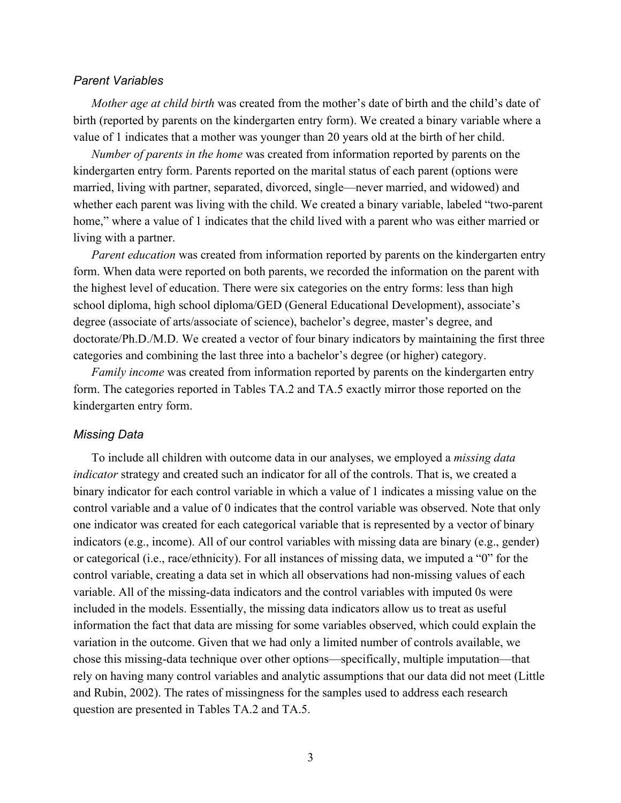#### *Parent Variables*

*Mother age at child birth* was created from the mother's date of birth and the child's date of birth (reported by parents on the kindergarten entry form). We created a binary variable where a value of 1 indicates that a mother was younger than 20 years old at the birth of her child.

*Number of parents in the home* was created from information reported by parents on the kindergarten entry form. Parents reported on the marital status of each parent (options were married, living with partner, separated, divorced, single—never married, and widowed) and whether each parent was living with the child. We created a binary variable, labeled "two-parent home," where a value of 1 indicates that the child lived with a parent who was either married or living with a partner.

*Parent education* was created from information reported by parents on the kindergarten entry form. When data were reported on both parents, we recorded the information on the parent with the highest level of education. There were six categories on the entry forms: less than high school diploma, high school diploma/GED (General Educational Development), associate's degree (associate of arts/associate of science), bachelor's degree, master's degree, and doctorate/Ph.D./M.D. We created a vector of four binary indicators by maintaining the first three categories and combining the last three into a bachelor's degree (or higher) category.

*Family income* was created from information reported by parents on the kindergarten entry form. The categories reported in Tables TA.2 and TA.5 exactly mirror those reported on the kindergarten entry form.

#### *Missing Data*

To include all children with outcome data in our analyses, we employed a *missing data indicator* strategy and created such an indicator for all of the controls. That is, we created a binary indicator for each control variable in which a value of 1 indicates a missing value on the control variable and a value of 0 indicates that the control variable was observed. Note that only one indicator was created for each categorical variable that is represented by a vector of binary indicators (e.g., income). All of our control variables with missing data are binary (e.g., gender) or categorical (i.e., race/ethnicity). For all instances of missing data, we imputed a "0" for the control variable, creating a data set in which all observations had non-missing values of each variable. All of the missing-data indicators and the control variables with imputed 0s were included in the models. Essentially, the missing data indicators allow us to treat as useful information the fact that data are missing for some variables observed, which could explain the variation in the outcome. Given that we had only a limited number of controls available, we chose this missing-data technique over other options—specifically, multiple imputation—that rely on having many control variables and analytic assumptions that our data did not meet (Little and Rubin, 2002). The rates of missingness for the samples used to address each research question are presented in Tables TA.2 and TA.5.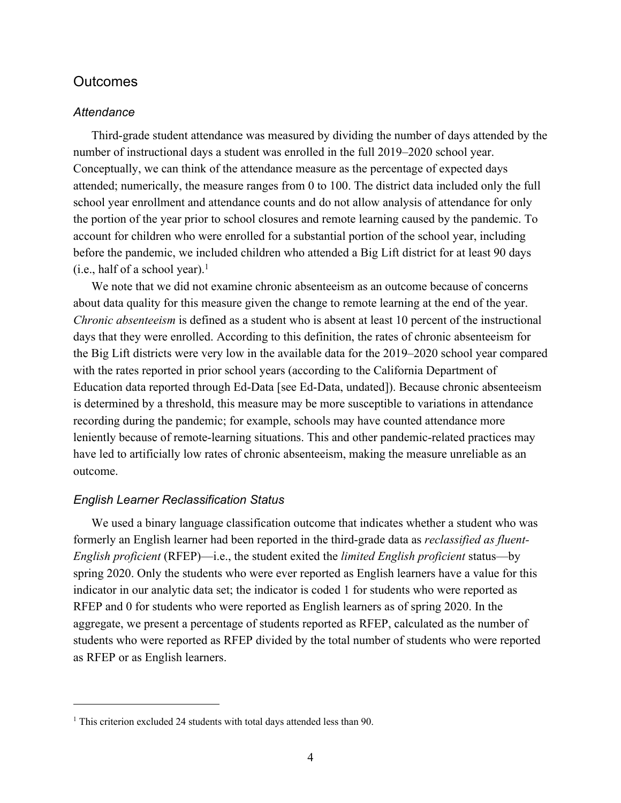### **Outcomes**

#### *Attendance*

Third-grade student attendance was measured by dividing the number of days attended by the number of instructional days a student was enrolled in the full 2019–2020 school year. Conceptually, we can think of the attendance measure as the percentage of expected days attended; numerically, the measure ranges from 0 to 100. The district data included only the full school year enrollment and attendance counts and do not allow analysis of attendance for only the portion of the year prior to school closures and remote learning caused by the pandemic. To account for children who were enrolled for a substantial portion of the school year, including before the pandemic, we included children who attended a Big Lift district for at least 90 days (i.e., half of a school year).<sup>1</sup>

We note that we did not examine chronic absenteeism as an outcome because of concerns about data quality for this measure given the change to remote learning at the end of the year. *Chronic absenteeism* is defined as a student who is absent at least 10 percent of the instructional days that they were enrolled. According to this definition, the rates of chronic absenteeism for the Big Lift districts were very low in the available data for the 2019–2020 school year compared with the rates reported in prior school years (according to the California Department of Education data reported through Ed-Data [see Ed-Data, undated]). Because chronic absenteeism is determined by a threshold, this measure may be more susceptible to variations in attendance recording during the pandemic; for example, schools may have counted attendance more leniently because of remote-learning situations. This and other pandemic-related practices may have led to artificially low rates of chronic absenteeism, making the measure unreliable as an outcome.

#### *English Learner Reclassification Status*

We used a binary language classification outcome that indicates whether a student who was formerly an English learner had been reported in the third-grade data as *reclassified as fluent-English proficient* (RFEP)—i.e., the student exited the *limited English proficient* status—by spring 2020. Only the students who were ever reported as English learners have a value for this indicator in our analytic data set; the indicator is coded 1 for students who were reported as RFEP and 0 for students who were reported as English learners as of spring 2020. In the aggregate, we present a percentage of students reported as RFEP, calculated as the number of students who were reported as RFEP divided by the total number of students who were reported as RFEP or as English learners.

<sup>&</sup>lt;sup>1</sup> This criterion excluded 24 students with total days attended less than 90.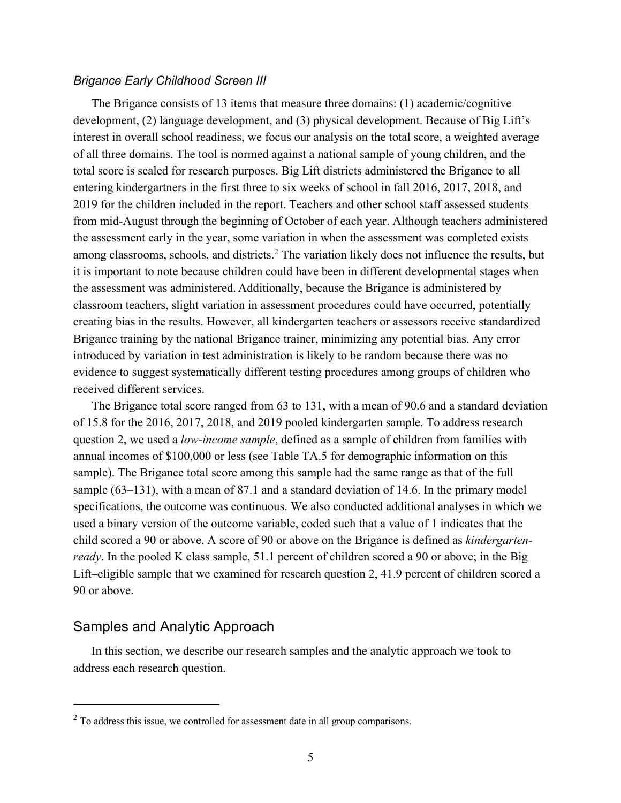#### *Brigance Early Childhood Screen III*

The Brigance consists of 13 items that measure three domains: (1) academic/cognitive development, (2) language development, and (3) physical development. Because of Big Lift's interest in overall school readiness, we focus our analysis on the total score, a weighted average of all three domains. The tool is normed against a national sample of young children, and the total score is scaled for research purposes. Big Lift districts administered the Brigance to all entering kindergartners in the first three to six weeks of school in fall 2016, 2017, 2018, and 2019 for the children included in the report. Teachers and other school staff assessed students from mid-August through the beginning of October of each year. Although teachers administered the assessment early in the year, some variation in when the assessment was completed exists among classrooms, schools, and districts.<sup>2</sup> The variation likely does not influence the results, but it is important to note because children could have been in different developmental stages when the assessment was administered. Additionally, because the Brigance is administered by classroom teachers, slight variation in assessment procedures could have occurred, potentially creating bias in the results. However, all kindergarten teachers or assessors receive standardized Brigance training by the national Brigance trainer, minimizing any potential bias. Any error introduced by variation in test administration is likely to be random because there was no evidence to suggest systematically different testing procedures among groups of children who received different services.

The Brigance total score ranged from 63 to 131, with a mean of 90.6 and a standard deviation of 15.8 for the 2016, 2017, 2018, and 2019 pooled kindergarten sample. To address research question 2, we used a *low-income sample*, defined as a sample of children from families with annual incomes of \$100,000 or less (see Table TA.5 for demographic information on this sample). The Brigance total score among this sample had the same range as that of the full sample (63–131), with a mean of 87.1 and a standard deviation of 14.6. In the primary model specifications, the outcome was continuous. We also conducted additional analyses in which we used a binary version of the outcome variable, coded such that a value of 1 indicates that the child scored a 90 or above. A score of 90 or above on the Brigance is defined as *kindergartenready*. In the pooled K class sample, 51.1 percent of children scored a 90 or above; in the Big Lift–eligible sample that we examined for research question 2, 41.9 percent of children scored a 90 or above.

### Samples and Analytic Approach

In this section, we describe our research samples and the analytic approach we took to address each research question.

 $2$  To address this issue, we controlled for assessment date in all group comparisons.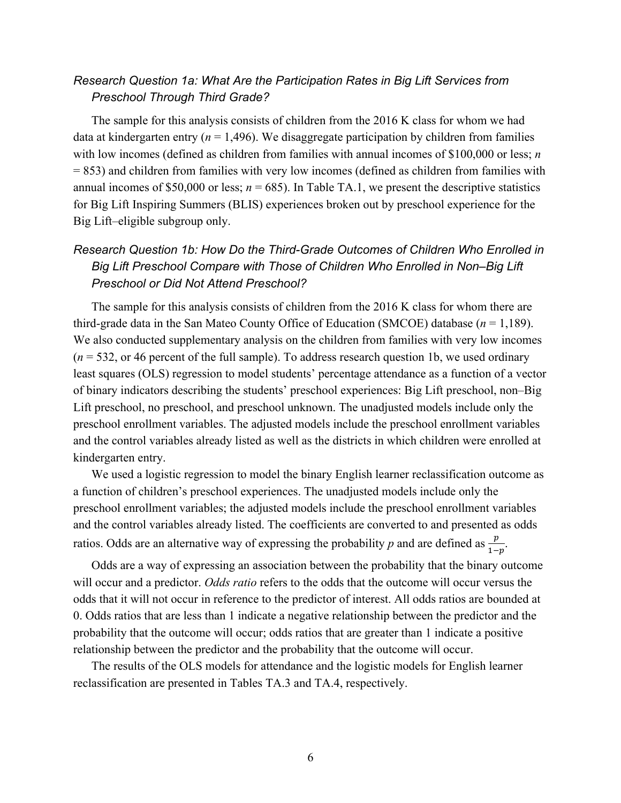# *Research Question 1a: What Are the Participation Rates in Big Lift Services from Preschool Through Third Grade?*

The sample for this analysis consists of children from the 2016 K class for whom we had data at kindergarten entry ( $n = 1,496$ ). We disaggregate participation by children from families with low incomes (defined as children from families with annual incomes of \$100,000 or less; *n*  = 853) and children from families with very low incomes (defined as children from families with annual incomes of \$50,000 or less;  $n = 685$ ). In Table TA.1, we present the descriptive statistics for Big Lift Inspiring Summers (BLIS) experiences broken out by preschool experience for the Big Lift–eligible subgroup only.

# *Research Question 1b: How Do the Third-Grade Outcomes of Children Who Enrolled in Big Lift Preschool Compare with Those of Children Who Enrolled in Non–Big Lift Preschool or Did Not Attend Preschool?*

The sample for this analysis consists of children from the 2016 K class for whom there are third-grade data in the San Mateo County Office of Education (SMCOE) database (*n* = 1,189). We also conducted supplementary analysis on the children from families with very low incomes (*n* = 532, or 46 percent of the full sample). To address research question 1b, we used ordinary least squares (OLS) regression to model students' percentage attendance as a function of a vector of binary indicators describing the students' preschool experiences: Big Lift preschool, non–Big Lift preschool, no preschool, and preschool unknown. The unadjusted models include only the preschool enrollment variables. The adjusted models include the preschool enrollment variables and the control variables already listed as well as the districts in which children were enrolled at kindergarten entry.

We used a logistic regression to model the binary English learner reclassification outcome as a function of children's preschool experiences. The unadjusted models include only the preschool enrollment variables; the adjusted models include the preschool enrollment variables and the control variables already listed. The coefficients are converted to and presented as odds ratios. Odds are an alternative way of expressing the probability p and are defined as  $\frac{p}{1-p}$ .

Odds are a way of expressing an association between the probability that the binary outcome will occur and a predictor. *Odds ratio* refers to the odds that the outcome will occur versus the odds that it will not occur in reference to the predictor of interest. All odds ratios are bounded at 0. Odds ratios that are less than 1 indicate a negative relationship between the predictor and the probability that the outcome will occur; odds ratios that are greater than 1 indicate a positive relationship between the predictor and the probability that the outcome will occur.

The results of the OLS models for attendance and the logistic models for English learner reclassification are presented in Tables TA.3 and TA.4, respectively.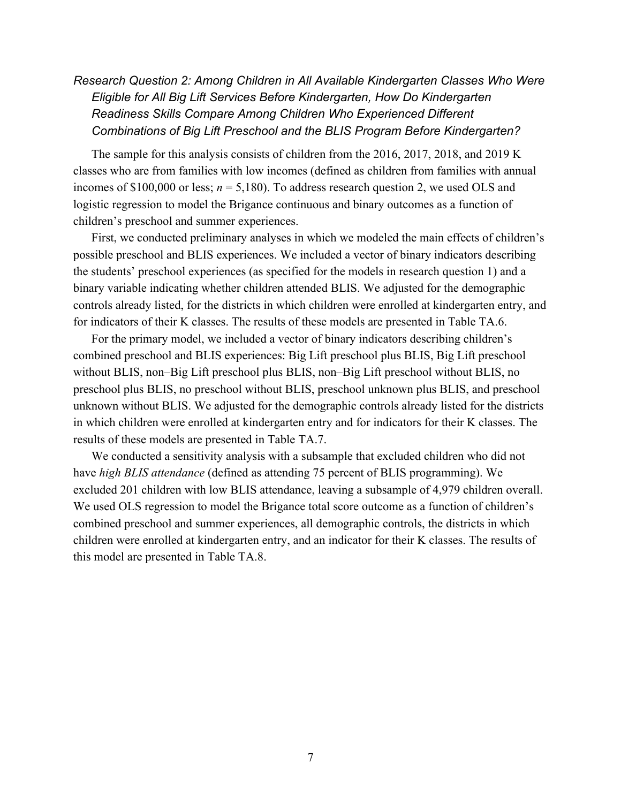# *Research Question 2: Among Children in All Available Kindergarten Classes Who Were Eligible for All Big Lift Services Before Kindergarten, How Do Kindergarten Readiness Skills Compare Among Children Who Experienced Different Combinations of Big Lift Preschool and the BLIS Program Before Kindergarten?*

The sample for this analysis consists of children from the 2016, 2017, 2018, and 2019 K classes who are from families with low incomes (defined as children from families with annual incomes of  $$100,000$  or less;  $n = 5,180$ ). To address research question 2, we used OLS and logistic regression to model the Brigance continuous and binary outcomes as a function of children's preschool and summer experiences.

First, we conducted preliminary analyses in which we modeled the main effects of children's possible preschool and BLIS experiences. We included a vector of binary indicators describing the students' preschool experiences (as specified for the models in research question 1) and a binary variable indicating whether children attended BLIS. We adjusted for the demographic controls already listed, for the districts in which children were enrolled at kindergarten entry, and for indicators of their K classes. The results of these models are presented in Table TA.6.

For the primary model, we included a vector of binary indicators describing children's combined preschool and BLIS experiences: Big Lift preschool plus BLIS, Big Lift preschool without BLIS, non–Big Lift preschool plus BLIS, non–Big Lift preschool without BLIS, no preschool plus BLIS, no preschool without BLIS, preschool unknown plus BLIS, and preschool unknown without BLIS. We adjusted for the demographic controls already listed for the districts in which children were enrolled at kindergarten entry and for indicators for their K classes. The results of these models are presented in Table TA.7.

We conducted a sensitivity analysis with a subsample that excluded children who did not have *high BLIS attendance* (defined as attending 75 percent of BLIS programming). We excluded 201 children with low BLIS attendance, leaving a subsample of 4,979 children overall. We used OLS regression to model the Brigance total score outcome as a function of children's combined preschool and summer experiences, all demographic controls, the districts in which children were enrolled at kindergarten entry, and an indicator for their K classes. The results of this model are presented in Table TA.8.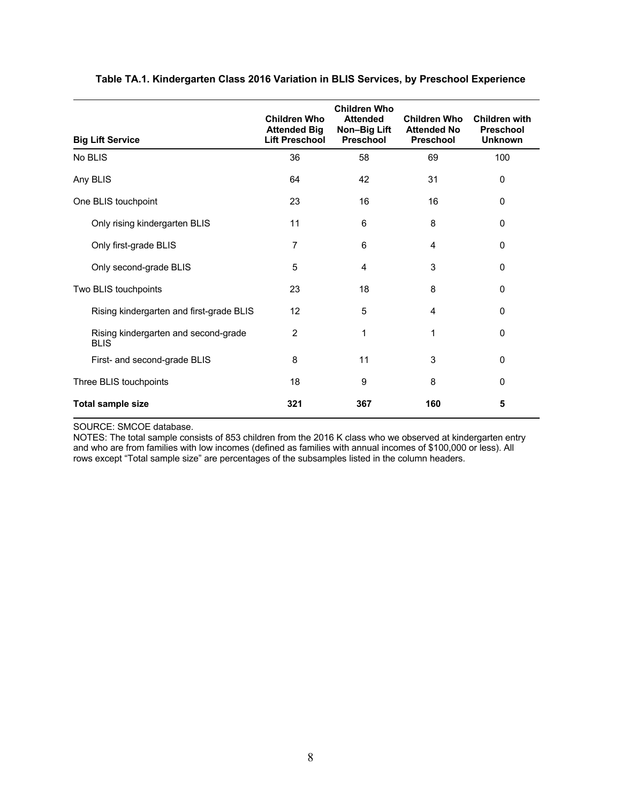| <b>Big Lift Service</b>                             | <b>Children Who</b><br><b>Attended Big</b><br><b>Lift Preschool</b> | <b>Children Who</b><br><b>Attended</b><br>Non-Big Lift<br>Preschool | <b>Children Who</b><br><b>Attended No</b><br><b>Preschool</b> | <b>Children with</b><br><b>Preschool</b><br><b>Unknown</b> |
|-----------------------------------------------------|---------------------------------------------------------------------|---------------------------------------------------------------------|---------------------------------------------------------------|------------------------------------------------------------|
| No BLIS                                             | 36                                                                  | 58                                                                  | 69                                                            | 100                                                        |
| Any BLIS                                            | 64                                                                  | 42                                                                  | 31                                                            | $\mathbf{0}$                                               |
| One BLIS touchpoint                                 | 23                                                                  | 16                                                                  | 16                                                            | 0                                                          |
| Only rising kindergarten BLIS                       | 11                                                                  | 6                                                                   | 8                                                             | 0                                                          |
| Only first-grade BLIS                               | 7                                                                   | 6                                                                   | 4                                                             | 0                                                          |
| Only second-grade BLIS                              | 5                                                                   | 4                                                                   | 3                                                             | 0                                                          |
| Two BLIS touchpoints                                | 23                                                                  | 18                                                                  | 8                                                             | $\mathbf{0}$                                               |
| Rising kindergarten and first-grade BLIS            | 12                                                                  | 5                                                                   | 4                                                             | $\mathbf 0$                                                |
| Rising kindergarten and second-grade<br><b>BLIS</b> | 2                                                                   | 1                                                                   | 1                                                             | 0                                                          |
| First- and second-grade BLIS                        | 8                                                                   | 11                                                                  | 3                                                             | $\mathbf{0}$                                               |
| Three BLIS touchpoints                              | 18                                                                  | 9                                                                   | 8                                                             | $\mathbf{0}$                                               |
| <b>Total sample size</b>                            | 321                                                                 | 367                                                                 | 160                                                           | 5                                                          |

#### **Table TA.1. Kindergarten Class 2016 Variation in BLIS Services, by Preschool Experience**

SOURCE: SMCOE database.

NOTES: The total sample consists of 853 children from the 2016 K class who we observed at kindergarten entry and who are from families with low incomes (defined as families with annual incomes of \$100,000 or less). All rows except "Total sample size" are percentages of the subsamples listed in the column headers.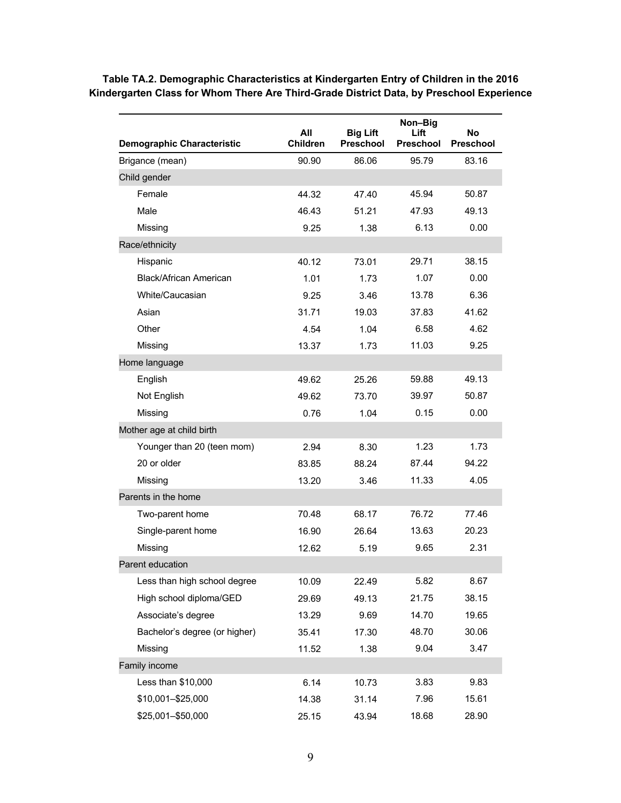**Table TA.2. Demographic Characteristics at Kindergarten Entry of Children in the 2016 Kindergarten Class for Whom There Are Third-Grade District Data, by Preschool Experience**

| <b>Demographic Characteristic</b> | All<br><b>Children</b> | <b>Big Lift</b><br>Preschool | Non-Big<br>Lift<br>Preschool | <b>No</b><br><b>Preschool</b> |
|-----------------------------------|------------------------|------------------------------|------------------------------|-------------------------------|
| Brigance (mean)                   | 90.90                  | 86.06                        | 95.79                        | 83.16                         |
| Child gender                      |                        |                              |                              |                               |
| Female                            | 44.32                  | 47.40                        | 45.94                        | 50.87                         |
| Male                              | 46.43                  | 51.21                        | 47.93                        | 49.13                         |
| Missing                           | 9.25                   | 1.38                         | 6.13                         | 0.00                          |
| Race/ethnicity                    |                        |                              |                              |                               |
| Hispanic                          | 40.12                  | 73.01                        | 29.71                        | 38.15                         |
| <b>Black/African American</b>     | 1.01                   | 1.73                         | 1.07                         | 0.00                          |
| White/Caucasian                   | 9.25                   | 3.46                         | 13.78                        | 6.36                          |
| Asian                             | 31.71                  | 19.03                        | 37.83                        | 41.62                         |
| Other                             | 4.54                   | 1.04                         | 6.58                         | 4.62                          |
| Missing                           | 13.37                  | 1.73                         | 11.03                        | 9.25                          |
| Home language                     |                        |                              |                              |                               |
| English                           | 49.62                  | 25.26                        | 59.88                        | 49.13                         |
| Not English                       | 49.62                  | 73.70                        | 39.97                        | 50.87                         |
| Missing                           | 0.76                   | 1.04                         | 0.15                         | 0.00                          |
| Mother age at child birth         |                        |                              |                              |                               |
| Younger than 20 (teen mom)        | 2.94                   | 8.30                         | 1.23                         | 1.73                          |
| 20 or older                       | 83.85                  | 88.24                        | 87.44                        | 94.22                         |
| Missing                           | 13.20                  | 3.46                         | 11.33                        | 4.05                          |
| Parents in the home               |                        |                              |                              |                               |
| Two-parent home                   | 70.48                  | 68.17                        | 76.72                        | 77.46                         |
| Single-parent home                | 16.90                  | 26.64                        | 13.63                        | 20.23                         |
| Missing                           | 12.62                  | 5.19                         | 9.65                         | 2.31                          |
| Parent education                  |                        |                              |                              |                               |
| Less than high school degree      | 10.09                  | 22.49                        | 5.82                         | 8.67                          |
| High school diploma/GED           | 29.69                  | 49.13                        | 21.75                        | 38.15                         |
| Associate's degree                | 13.29                  | 9.69                         | 14.70                        | 19.65                         |
| Bachelor's degree (or higher)     | 35.41                  | 17.30                        | 48.70                        | 30.06                         |
| Missing                           | 11.52                  | 1.38                         | 9.04                         | 3.47                          |
| Family income                     |                        |                              |                              |                               |
| Less than \$10,000                | 6.14                   | 10.73                        | 3.83                         | 9.83                          |
| \$10,001-\$25,000                 | 14.38                  | 31.14                        | 7.96                         | 15.61                         |
| \$25,001-\$50,000                 | 25.15                  | 43.94                        | 18.68                        | 28.90                         |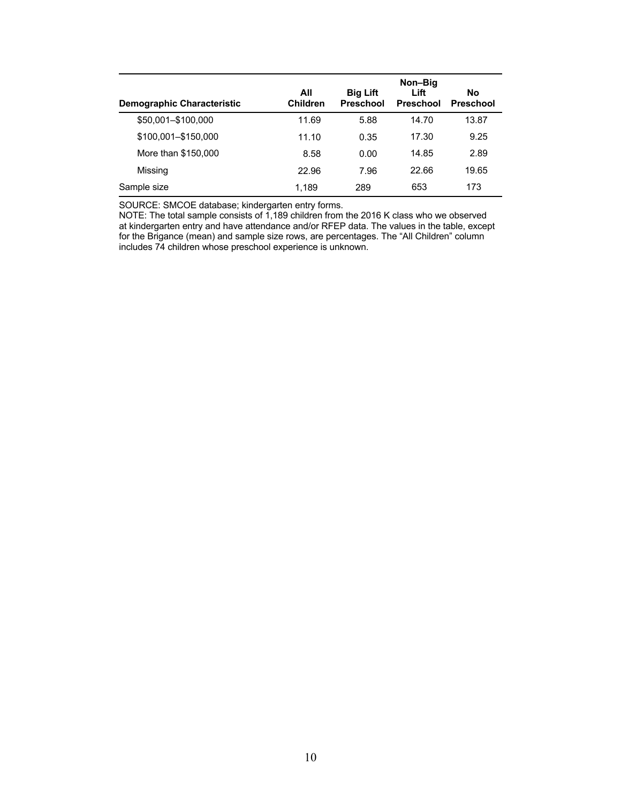| <b>Demographic Characteristic</b> | All<br><b>Children</b> | <b>Big Lift</b><br>Preschool | Non-Big<br>Lift<br>Preschool | No<br><b>Preschool</b> |
|-----------------------------------|------------------------|------------------------------|------------------------------|------------------------|
| \$50,001-\$100,000                | 11.69                  | 5.88                         | 14.70                        | 13.87                  |
| \$100,001-\$150,000               | 11.10                  | 0.35                         | 17.30                        | 9.25                   |
| More than \$150,000               | 8.58                   | 0.00                         | 14.85                        | 2.89                   |
| Missing                           | 22.96                  | 7.96                         | 22.66                        | 19.65                  |
| Sample size                       | 1.189                  | 289                          | 653                          | 173                    |

SOURCE: SMCOE database; kindergarten entry forms.

NOTE: The total sample consists of 1,189 children from the 2016 K class who we observed at kindergarten entry and have attendance and/or RFEP data. The values in the table, except for the Brigance (mean) and sample size rows, are percentages. The "All Children" column includes 74 children whose preschool experience is unknown.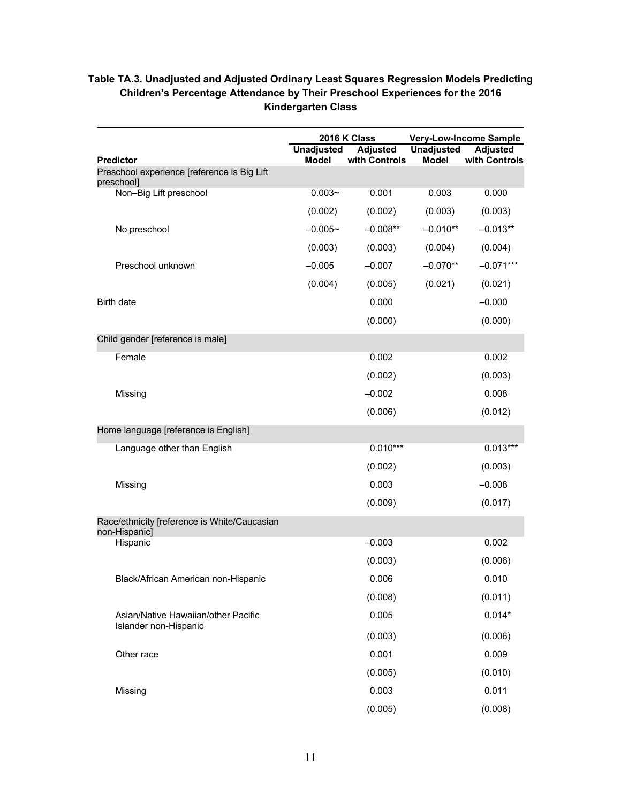# **Table TA.3. Unadjusted and Adjusted Ordinary Least Squares Regression Models Predicting Children's Percentage Attendance by Their Preschool Experiences for the 2016 Kindergarten Class**

|                                                           | 2016 K Class                      |                                  | <b>Very-Low-Income Sample</b>     |                                  |  |
|-----------------------------------------------------------|-----------------------------------|----------------------------------|-----------------------------------|----------------------------------|--|
| <b>Predictor</b>                                          | <b>Unadjusted</b><br><b>Model</b> | <b>Adjusted</b><br>with Controls | <b>Unadjusted</b><br><b>Model</b> | <b>Adjusted</b><br>with Controls |  |
| Preschool experience [reference is Big Lift<br>preschool] |                                   |                                  |                                   |                                  |  |
| Non-Big Lift preschool                                    | $0.003 -$                         | 0.001                            | 0.003                             | 0.000                            |  |
|                                                           | (0.002)                           | (0.002)                          | (0.003)                           | (0.003)                          |  |
| No preschool                                              | $-0.005 -$                        | $-0.008**$                       | $-0.010**$                        | $-0.013**$                       |  |
|                                                           | (0.003)                           | (0.003)                          | (0.004)                           | (0.004)                          |  |
| Preschool unknown                                         | $-0.005$                          | $-0.007$                         | $-0.070**$                        | $-0.071***$                      |  |
|                                                           | (0.004)                           | (0.005)                          | (0.021)                           | (0.021)                          |  |
| Birth date                                                |                                   | 0.000                            |                                   | $-0.000$                         |  |
|                                                           |                                   | (0.000)                          |                                   | (0.000)                          |  |
| Child gender [reference is male]                          |                                   |                                  |                                   |                                  |  |
| Female                                                    |                                   | 0.002                            |                                   | 0.002                            |  |
|                                                           |                                   | (0.002)                          |                                   | (0.003)                          |  |
| Missing                                                   |                                   | $-0.002$                         |                                   | 0.008                            |  |
|                                                           |                                   | (0.006)                          |                                   | (0.012)                          |  |
| Home language [reference is English]                      |                                   |                                  |                                   |                                  |  |
| Language other than English                               |                                   | $0.010***$                       |                                   | $0.013***$                       |  |
|                                                           |                                   | (0.002)                          |                                   | (0.003)                          |  |
| Missing                                                   |                                   | 0.003                            |                                   | $-0.008$                         |  |
|                                                           |                                   | (0.009)                          |                                   | (0.017)                          |  |
| Race/ethnicity [reference is White/Caucasian              |                                   |                                  |                                   |                                  |  |
| non-Hispanic]<br>Hispanic                                 |                                   | $-0.003$                         |                                   | 0.002                            |  |
|                                                           |                                   | (0.003)                          |                                   | (0.006)                          |  |
| Black/African American non-Hispanic                       |                                   | 0.006                            |                                   | 0.010                            |  |
|                                                           |                                   | (0.008)                          |                                   | (0.011)                          |  |
| Asian/Native Hawaiian/other Pacific                       |                                   | 0.005                            |                                   | $0.014*$                         |  |
| Islander non-Hispanic                                     |                                   | (0.003)                          |                                   | (0.006)                          |  |
| Other race                                                |                                   | 0.001                            |                                   | 0.009                            |  |
|                                                           |                                   | (0.005)                          |                                   | (0.010)                          |  |
| Missing                                                   |                                   | 0.003                            |                                   | 0.011                            |  |
|                                                           |                                   | (0.005)                          |                                   | (0.008)                          |  |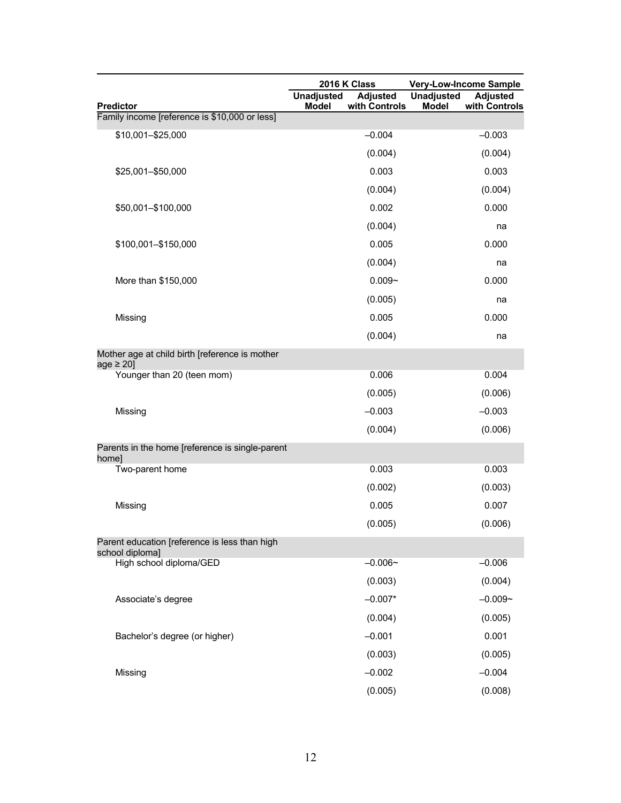|                                                                   | 2016 K Class                                                          | <b>Very-Low-Income Sample</b>                                         |  |  |
|-------------------------------------------------------------------|-----------------------------------------------------------------------|-----------------------------------------------------------------------|--|--|
| <b>Predictor</b>                                                  | <b>Unadjusted</b><br><b>Adjusted</b><br><b>Model</b><br>with Controls | <b>Unadjusted</b><br><b>Adjusted</b><br><b>Model</b><br>with Controls |  |  |
| Family income [reference is \$10,000 or less]                     |                                                                       |                                                                       |  |  |
| \$10,001-\$25,000                                                 | $-0.004$                                                              | $-0.003$                                                              |  |  |
|                                                                   | (0.004)                                                               | (0.004)                                                               |  |  |
| \$25,001-\$50,000                                                 | 0.003                                                                 | 0.003                                                                 |  |  |
|                                                                   | (0.004)                                                               | (0.004)                                                               |  |  |
| \$50,001-\$100,000                                                | 0.002                                                                 | 0.000                                                                 |  |  |
|                                                                   | (0.004)                                                               | na                                                                    |  |  |
| \$100,001-\$150,000                                               | 0.005                                                                 | 0.000                                                                 |  |  |
|                                                                   | (0.004)                                                               | na                                                                    |  |  |
| More than \$150,000                                               | $0.009 -$                                                             | 0.000                                                                 |  |  |
|                                                                   | (0.005)                                                               | na                                                                    |  |  |
| Missing                                                           | 0.005                                                                 | 0.000                                                                 |  |  |
|                                                                   | (0.004)                                                               | na                                                                    |  |  |
| Mother age at child birth [reference is mother<br>age $\geq 20$ ] |                                                                       |                                                                       |  |  |
| Younger than 20 (teen mom)                                        | 0.006                                                                 | 0.004                                                                 |  |  |
|                                                                   | (0.005)                                                               | (0.006)                                                               |  |  |
| Missing                                                           | $-0.003$                                                              | $-0.003$                                                              |  |  |
|                                                                   | (0.004)                                                               | (0.006)                                                               |  |  |
| Parents in the home [reference is single-parent<br>home]          |                                                                       |                                                                       |  |  |
| Two-parent home                                                   | 0.003                                                                 | 0.003                                                                 |  |  |
|                                                                   | (0.002)                                                               | (0.003)                                                               |  |  |
| Missing                                                           | 0.005                                                                 | 0.007                                                                 |  |  |
|                                                                   | (0.005)                                                               | (0.006)                                                               |  |  |
| Parent education [reference is less than high<br>school diploma]  |                                                                       |                                                                       |  |  |
| High school diploma/GED                                           | $-0.006 -$                                                            | $-0.006$                                                              |  |  |
|                                                                   | (0.003)                                                               | (0.004)                                                               |  |  |
| Associate's degree                                                | $-0.007*$                                                             | $-0.009 -$                                                            |  |  |
|                                                                   | (0.004)                                                               | (0.005)                                                               |  |  |
| Bachelor's degree (or higher)                                     | $-0.001$                                                              | 0.001                                                                 |  |  |
|                                                                   | (0.003)                                                               | (0.005)                                                               |  |  |
| Missing                                                           | $-0.002$                                                              | $-0.004$                                                              |  |  |
|                                                                   | (0.005)                                                               | (0.008)                                                               |  |  |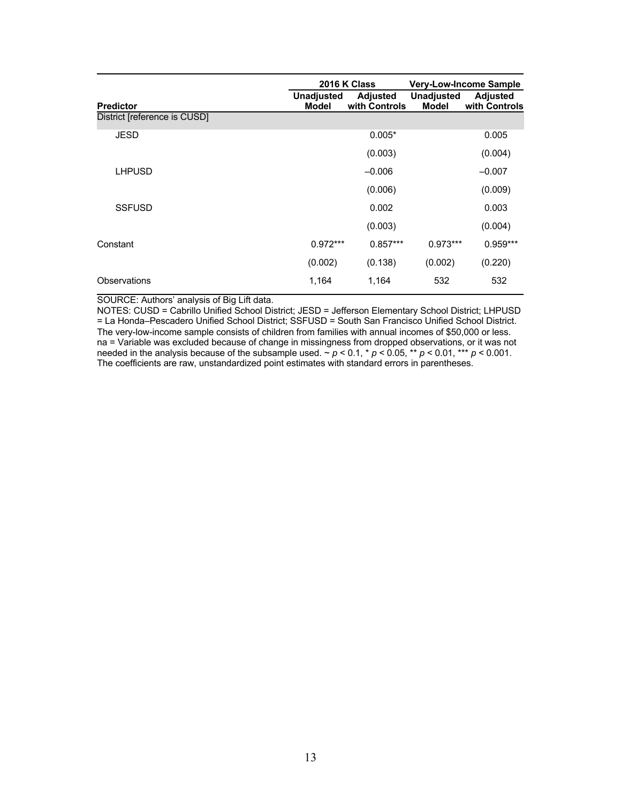|                              | 2016 K Class               |                                  |                                   | <b>Very-Low-Income Sample</b>    |  |  |  |
|------------------------------|----------------------------|----------------------------------|-----------------------------------|----------------------------------|--|--|--|
| <b>Predictor</b>             | <b>Unadjusted</b><br>Model | <b>Adjusted</b><br>with Controls | <b>Unadjusted</b><br><b>Model</b> | <b>Adjusted</b><br>with Controls |  |  |  |
| District [reference is CUSD] |                            |                                  |                                   |                                  |  |  |  |
| JESD                         |                            | $0.005*$                         |                                   | 0.005                            |  |  |  |
|                              |                            | (0.003)                          |                                   | (0.004)                          |  |  |  |
| <b>LHPUSD</b>                |                            | $-0.006$                         |                                   | $-0.007$                         |  |  |  |
|                              |                            | (0.006)                          |                                   | (0.009)                          |  |  |  |
| <b>SSFUSD</b>                |                            | 0.002                            |                                   | 0.003                            |  |  |  |
|                              |                            | (0.003)                          |                                   | (0.004)                          |  |  |  |
| Constant                     | $0.972***$                 | $0.857***$                       | $0.973***$                        | $0.959***$                       |  |  |  |
|                              | (0.002)                    | (0.138)                          | (0.002)                           | (0.220)                          |  |  |  |
| Observations                 | 1,164                      | 1,164                            | 532                               | 532                              |  |  |  |

#### SOURCE: Authors' analysis of Big Lift data.

NOTES: CUSD = Cabrillo Unified School District; JESD = Jefferson Elementary School District; LHPUSD = La Honda–Pescadero Unified School District; SSFUSD = South San Francisco Unified School District. The very-low-income sample consists of children from families with annual incomes of \$50,000 or less. na = Variable was excluded because of change in missingness from dropped observations, or it was not needed in the analysis because of the subsample used.  $\sim p < 0.1$ ,  $\star p < 0.05$ ,  $\star \star p < 0.01$ ,  $\star \star \star p < 0.001$ . The coefficients are raw, unstandardized point estimates with standard errors in parentheses.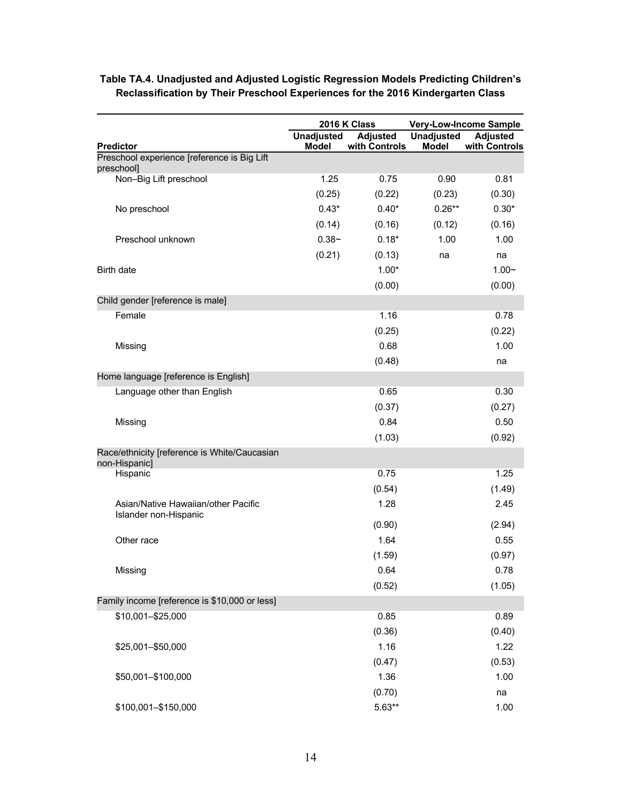|                                                               |                                   | 2016 K Class                     | <b>Very-Low-Income Sample</b>     |                                  |  |
|---------------------------------------------------------------|-----------------------------------|----------------------------------|-----------------------------------|----------------------------------|--|
| <b>Predictor</b>                                              | <b>Unadjusted</b><br><b>Model</b> | <b>Adjusted</b><br>with Controls | <b>Unadjusted</b><br><b>Model</b> | <b>Adjusted</b><br>with Controls |  |
| Preschool experience [reference is Big Lift                   |                                   |                                  |                                   |                                  |  |
| preschool]<br>Non-Big Lift preschool                          | 1.25                              | 0.75                             | 0.90                              | 0.81                             |  |
|                                                               |                                   |                                  |                                   |                                  |  |
|                                                               | (0.25)<br>$0.43*$                 | (0.22)                           | (0.23)                            | (0.30)                           |  |
| No preschool                                                  |                                   | $0.40*$                          | $0.26**$                          | $0.30*$                          |  |
|                                                               | (0.14)                            | (0.16)                           | (0.12)                            | (0.16)                           |  |
| Preschool unknown                                             | $0.38 -$                          | $0.18*$                          | 1.00                              | 1.00                             |  |
|                                                               | (0.21)                            | (0.13)                           | na                                | na                               |  |
| Birth date                                                    |                                   | $1.00*$                          |                                   | $1.00 -$                         |  |
|                                                               |                                   | (0.00)                           |                                   | (0.00)                           |  |
| Child gender [reference is male]                              |                                   |                                  |                                   |                                  |  |
| Female                                                        |                                   | 1.16                             |                                   | 0.78                             |  |
|                                                               |                                   | (0.25)                           |                                   | (0.22)                           |  |
| Missing                                                       |                                   | 0.68                             |                                   | 1.00                             |  |
|                                                               |                                   | (0.48)                           |                                   | na                               |  |
| Home language [reference is English]                          |                                   |                                  |                                   |                                  |  |
| Language other than English                                   |                                   | 0.65                             |                                   | 0.30                             |  |
|                                                               |                                   | (0.37)                           |                                   | (0.27)                           |  |
| Missing                                                       |                                   | 0.84                             |                                   | 0.50                             |  |
|                                                               |                                   | (1.03)                           |                                   | (0.92)                           |  |
| Race/ethnicity [reference is White/Caucasian<br>non-Hispanic] |                                   |                                  |                                   |                                  |  |
| Hispanic                                                      |                                   | 0.75                             |                                   | 1.25                             |  |
|                                                               |                                   | (0.54)                           |                                   | (1.49)                           |  |
| Asian/Native Hawaiian/other Pacific                           |                                   | 1.28                             |                                   | 2.45                             |  |
| Islander non-Hispanic                                         |                                   | (0.90)                           |                                   | (2.94)                           |  |
| Other race                                                    |                                   | 1.64                             |                                   | 0.55                             |  |
|                                                               |                                   | (1.59)                           |                                   | (0.97)                           |  |
| Missing                                                       |                                   | 0.64                             |                                   | 0.78                             |  |
|                                                               |                                   | (0.52)                           |                                   | (1.05)                           |  |
| Family income [reference is \$10,000 or less]                 |                                   |                                  |                                   |                                  |  |
| \$10,001-\$25,000                                             |                                   | 0.85                             |                                   | 0.89                             |  |
|                                                               |                                   | (0.36)                           |                                   | (0.40)                           |  |
| \$25,001-\$50,000                                             |                                   | 1.16                             |                                   | 1.22                             |  |
|                                                               |                                   | (0.47)                           |                                   | (0.53)                           |  |
| \$50,001-\$100,000                                            |                                   | 1.36                             |                                   | 1.00                             |  |
|                                                               |                                   |                                  |                                   |                                  |  |
|                                                               |                                   | (0.70)                           |                                   | na                               |  |
| \$100,001-\$150,000                                           |                                   | $5.63**$                         |                                   | 1.00                             |  |

# **Table TA.4. Unadjusted and Adjusted Logistic Regression Models Predicting Children's Reclassification by Their Preschool Experiences for the 2016 Kindergarten Class**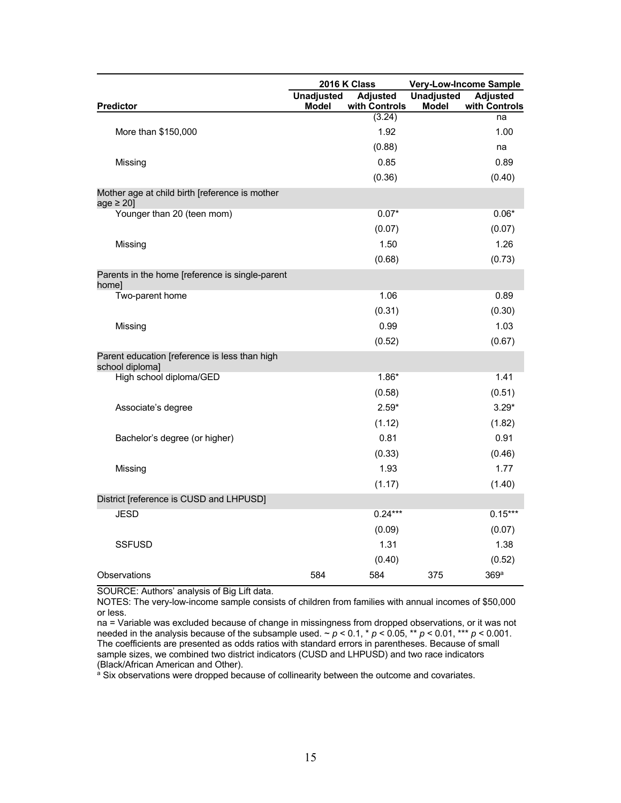|                                                                   |                                   | 2016 K Class                     | Very-Low-Income Sample     |                                  |  |
|-------------------------------------------------------------------|-----------------------------------|----------------------------------|----------------------------|----------------------------------|--|
| <b>Predictor</b>                                                  | <b>Unadjusted</b><br><b>Model</b> | <b>Adjusted</b><br>with Controls | Unadjusted<br><b>Model</b> | <b>Adjusted</b><br>with Controls |  |
|                                                                   |                                   | (3.24)                           |                            | na                               |  |
| More than \$150,000                                               |                                   | 1.92                             |                            | 1.00                             |  |
|                                                                   |                                   | (0.88)                           |                            | na                               |  |
| Missing                                                           |                                   | 0.85                             |                            | 0.89                             |  |
|                                                                   |                                   | (0.36)                           |                            | (0.40)                           |  |
| Mother age at child birth [reference is mother<br>$age \geq 20$ ] |                                   |                                  |                            |                                  |  |
| Younger than 20 (teen mom)                                        |                                   | $0.07*$                          |                            | $0.06*$                          |  |
|                                                                   |                                   | (0.07)                           |                            | (0.07)                           |  |
| Missing                                                           |                                   | 1.50                             |                            | 1.26                             |  |
|                                                                   |                                   | (0.68)                           |                            | (0.73)                           |  |
| Parents in the home [reference is single-parent<br>home]          |                                   |                                  |                            |                                  |  |
| Two-parent home                                                   |                                   | 1.06                             |                            | 0.89                             |  |
|                                                                   |                                   | (0.31)                           |                            | (0.30)                           |  |
| Missing                                                           |                                   | 0.99                             |                            | 1.03                             |  |
|                                                                   |                                   | (0.52)                           |                            | (0.67)                           |  |
| Parent education [reference is less than high<br>school diploma]  |                                   |                                  |                            |                                  |  |
| High school diploma/GED                                           |                                   | $1.86*$                          |                            | 1.41                             |  |
|                                                                   |                                   | (0.58)                           |                            | (0.51)                           |  |
| Associate's degree                                                |                                   | $2.59*$                          |                            | $3.29*$                          |  |
|                                                                   |                                   | (1.12)                           |                            | (1.82)                           |  |
| Bachelor's degree (or higher)                                     |                                   | 0.81                             |                            | 0.91                             |  |
|                                                                   |                                   | (0.33)                           |                            | (0.46)                           |  |
| Missing                                                           |                                   | 1.93                             |                            | 1.77                             |  |
|                                                                   |                                   | (1.17)                           |                            | (1.40)                           |  |
| District [reference is CUSD and LHPUSD]                           |                                   |                                  |                            |                                  |  |
| <b>JESD</b>                                                       |                                   | $0.24***$                        |                            | $0.15***$                        |  |
|                                                                   |                                   | (0.09)                           |                            | (0.07)                           |  |
| <b>SSFUSD</b>                                                     |                                   | 1.31                             |                            | 1.38                             |  |
|                                                                   |                                   | (0.40)                           |                            | (0.52)                           |  |
| Observations                                                      | 584                               | 584                              | 375                        | 369a                             |  |

SOURCE: Authors' analysis of Big Lift data.

NOTES: The very-low-income sample consists of children from families with annual incomes of \$50,000 or less.

na = Variable was excluded because of change in missingness from dropped observations, or it was not needed in the analysis because of the subsample used.  $\sim p < 0.1$ ,  $\star p < 0.05$ ,  $\star \star p < 0.01$ ,  $\star \star \star p < 0.001$ . The coefficients are presented as odds ratios with standard errors in parentheses. Because of small sample sizes, we combined two district indicators (CUSD and LHPUSD) and two race indicators (Black/African American and Other).

<sup>a</sup> Six observations were dropped because of collinearity between the outcome and covariates.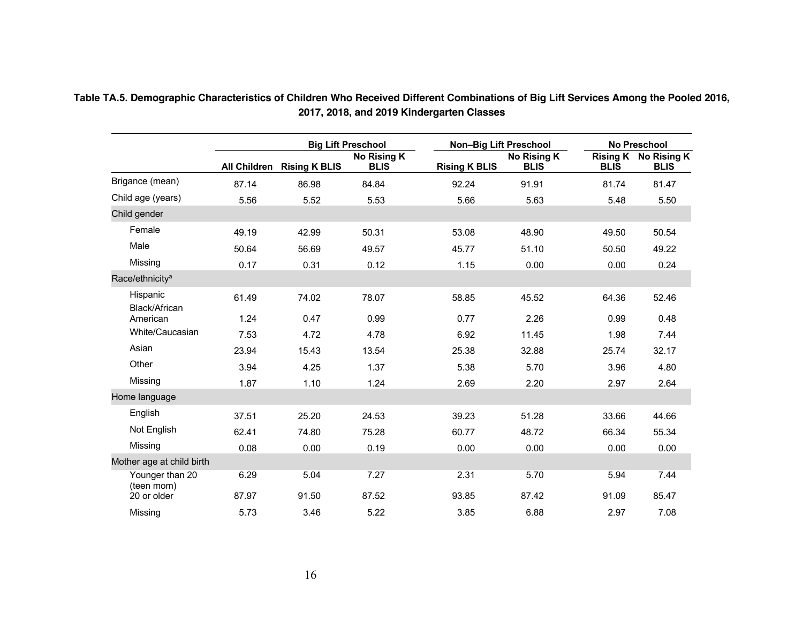|                               |                     |                      | <b>Big Lift Preschool</b>         | <b>Non-Big Lift Preschool</b> |                            |             | <b>No Preschool</b>                        |
|-------------------------------|---------------------|----------------------|-----------------------------------|-------------------------------|----------------------------|-------------|--------------------------------------------|
|                               | <b>All Children</b> | <b>Rising K BLIS</b> | <b>No Rising K</b><br><b>BLIS</b> | <b>Rising K BLIS</b>          | No Rising K<br><b>BLIS</b> | <b>BLIS</b> | <b>Rising K</b> No Rising K<br><b>BLIS</b> |
| Brigance (mean)               | 87.14               | 86.98                | 84.84                             | 92.24                         | 91.91                      | 81.74       | 81.47                                      |
| Child age (years)             | 5.56                | 5.52                 | 5.53                              | 5.66                          | 5.63                       | 5.48        | 5.50                                       |
| Child gender                  |                     |                      |                                   |                               |                            |             |                                            |
| Female                        | 49.19               | 42.99                | 50.31                             | 53.08                         | 48.90                      | 49.50       | 50.54                                      |
| Male                          | 50.64               | 56.69                | 49.57                             | 45.77                         | 51.10                      | 50.50       | 49.22                                      |
| Missing                       | 0.17                | 0.31                 | 0.12                              | 1.15                          | 0.00                       | 0.00        | 0.24                                       |
| Race/ethnicity <sup>a</sup>   |                     |                      |                                   |                               |                            |             |                                            |
| Hispanic<br>Black/African     | 61.49               | 74.02                | 78.07                             | 58.85                         | 45.52                      | 64.36       | 52.46                                      |
| American                      | 1.24                | 0.47                 | 0.99                              | 0.77                          | 2.26                       | 0.99        | 0.48                                       |
| White/Caucasian               | 7.53                | 4.72                 | 4.78                              | 6.92                          | 11.45                      | 1.98        | 7.44                                       |
| Asian                         | 23.94               | 15.43                | 13.54                             | 25.38                         | 32.88                      | 25.74       | 32.17                                      |
| Other                         | 3.94                | 4.25                 | 1.37                              | 5.38                          | 5.70                       | 3.96        | 4.80                                       |
| Missing                       | 1.87                | 1.10                 | 1.24                              | 2.69                          | 2.20                       | 2.97        | 2.64                                       |
| Home language                 |                     |                      |                                   |                               |                            |             |                                            |
| English                       | 37.51               | 25.20                | 24.53                             | 39.23                         | 51.28                      | 33.66       | 44.66                                      |
| Not English                   | 62.41               | 74.80                | 75.28                             | 60.77                         | 48.72                      | 66.34       | 55.34                                      |
| Missing                       | 0.08                | 0.00                 | 0.19                              | 0.00                          | 0.00                       | 0.00        | 0.00                                       |
| Mother age at child birth     |                     |                      |                                   |                               |                            |             |                                            |
| Younger than 20<br>(teen mom) | 6.29                | 5.04                 | 7.27                              | 2.31                          | 5.70                       | 5.94        | 7.44                                       |
| 20 or older                   | 87.97               | 91.50                | 87.52                             | 93.85                         | 87.42                      | 91.09       | 85.47                                      |
| Missing                       | 5.73                | 3.46                 | 5.22                              | 3.85                          | 6.88                       | 2.97        | 7.08                                       |

# **Table TA.5. Demographic Characteristics of Children Who Received Different Combinations of Big Lift Services Among the Pooled 2016, 2017, 2018, and 2019 Kindergarten Classes**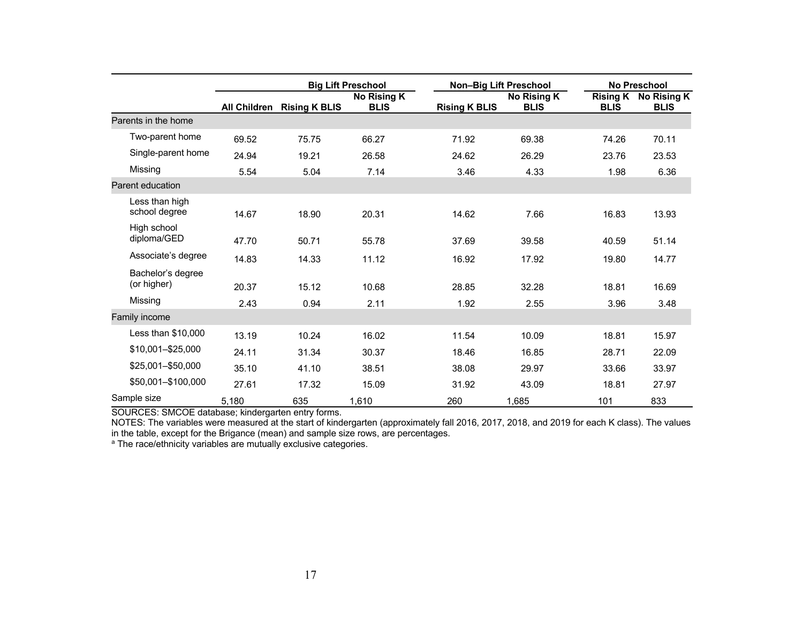|                                  |       |                            | <b>Big Lift Preschool</b>  | <b>Non-Big Lift Preschool</b> |                            |                                | <b>No Preschool</b>               |  |  |
|----------------------------------|-------|----------------------------|----------------------------|-------------------------------|----------------------------|--------------------------------|-----------------------------------|--|--|
|                                  |       | All Children Rising K BLIS | No Rising K<br><b>BLIS</b> | <b>Rising K BLIS</b>          | No Rising K<br><b>BLIS</b> | <b>Rising K</b><br><b>BLIS</b> | <b>No Rising K</b><br><b>BLIS</b> |  |  |
| Parents in the home              |       |                            |                            |                               |                            |                                |                                   |  |  |
| Two-parent home                  | 69.52 | 75.75                      | 66.27                      | 71.92                         | 69.38                      | 74.26                          | 70.11                             |  |  |
| Single-parent home               | 24.94 | 19.21                      | 26.58                      | 24.62                         | 26.29                      | 23.76                          | 23.53                             |  |  |
| Missing                          | 5.54  | 5.04                       | 7.14                       | 3.46                          | 4.33                       | 1.98                           | 6.36                              |  |  |
| Parent education                 |       |                            |                            |                               |                            |                                |                                   |  |  |
| Less than high<br>school degree  | 14.67 | 18.90                      | 20.31                      | 14.62                         | 7.66                       | 16.83                          | 13.93                             |  |  |
| High school<br>diploma/GED       | 47.70 | 50.71                      | 55.78                      | 37.69                         | 39.58                      | 40.59                          | 51.14                             |  |  |
| Associate's degree               | 14.83 | 14.33                      | 11.12                      | 16.92                         | 17.92                      | 19.80                          | 14.77                             |  |  |
| Bachelor's degree<br>(or higher) | 20.37 | 15.12                      | 10.68                      | 28.85                         | 32.28                      | 18.81                          | 16.69                             |  |  |
| Missing                          | 2.43  | 0.94                       | 2.11                       | 1.92                          | 2.55                       | 3.96                           | 3.48                              |  |  |
| Family income                    |       |                            |                            |                               |                            |                                |                                   |  |  |
| Less than \$10,000               | 13.19 | 10.24                      | 16.02                      | 11.54                         | 10.09                      | 18.81                          | 15.97                             |  |  |
| \$10,001-\$25,000                | 24.11 | 31.34                      | 30.37                      | 18.46                         | 16.85                      | 28.71                          | 22.09                             |  |  |
| \$25,001-\$50,000                | 35.10 | 41.10                      | 38.51                      | 38.08                         | 29.97                      | 33.66                          | 33.97                             |  |  |
| \$50,001-\$100,000               | 27.61 | 17.32                      | 15.09                      | 31.92                         | 43.09                      | 18.81                          | 27.97                             |  |  |
| Sample size                      | 5,180 | 635                        | 1,610                      | 260                           | 1,685                      | 101                            | 833                               |  |  |

SOURCES: SMCOE database; kindergarten entry forms.

NOTES: The variables were measured at the start of kindergarten (approximately fall 2016, 2017, 2018, and 2019 for each K class). The values in the table, except for the Brigance (mean) and sample size rows, are percentages.

<sup>a</sup> The race/ethnicity variables are mutually exclusive categories.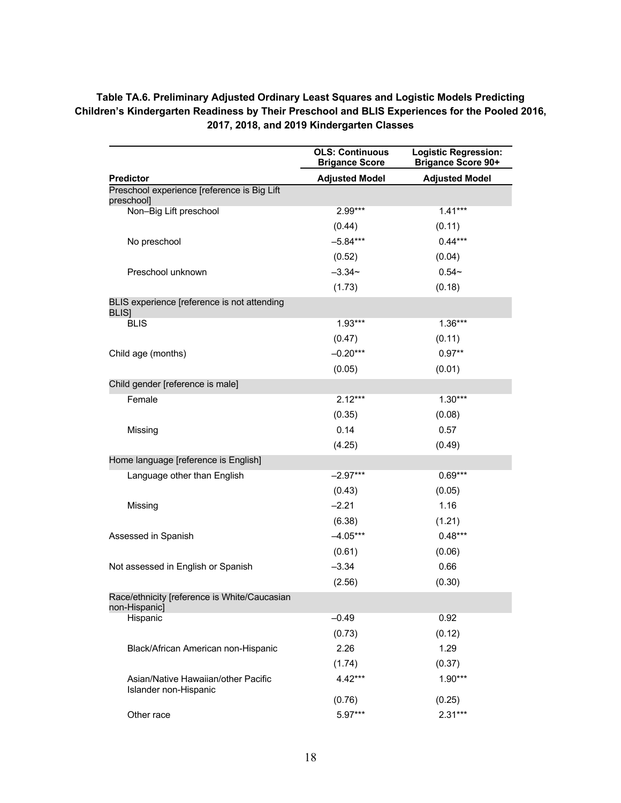| Table TA.6. Preliminary Adjusted Ordinary Least Squares and Logistic Models Predicting         |
|------------------------------------------------------------------------------------------------|
| Children's Kindergarten Readiness by Their Preschool and BLIS Experiences for the Pooled 2016, |
| 2017, 2018, and 2019 Kindergarten Classes                                                      |

|                                                               | <b>OLS: Continuous</b><br><b>Brigance Score</b> | <b>Logistic Regression:</b><br><b>Brigance Score 90+</b> |
|---------------------------------------------------------------|-------------------------------------------------|----------------------------------------------------------|
| <b>Predictor</b>                                              | <b>Adjusted Model</b>                           | <b>Adjusted Model</b>                                    |
| Preschool experience [reference is Big Lift<br>preschool]     |                                                 |                                                          |
| Non-Big Lift preschool                                        | $2.99***$                                       | $1.41***$                                                |
|                                                               | (0.44)                                          | (0.11)                                                   |
| No preschool                                                  | $-5.84***$                                      | $0.44***$                                                |
|                                                               | (0.52)                                          | (0.04)                                                   |
| Preschool unknown                                             | $-3.34-$                                        | $0.54 -$                                                 |
|                                                               | (1.73)                                          | (0.18)                                                   |
| BLIS experience [reference is not attending<br><b>BLIST</b>   |                                                 |                                                          |
| <b>BLIS</b>                                                   | $1.93***$                                       | $1.36***$                                                |
|                                                               | (0.47)                                          | (0.11)                                                   |
| Child age (months)                                            | $-0.20***$                                      | $0.97**$                                                 |
|                                                               | (0.05)                                          | (0.01)                                                   |
| Child gender [reference is male]                              |                                                 |                                                          |
| Female                                                        | $2.12***$                                       | $1.30***$                                                |
|                                                               | (0.35)                                          | (0.08)                                                   |
| Missing                                                       | 0.14                                            | 0.57                                                     |
|                                                               | (4.25)                                          | (0.49)                                                   |
| Home language [reference is English]                          |                                                 |                                                          |
| Language other than English                                   | $-2.97***$                                      | $0.69***$                                                |
|                                                               | (0.43)                                          | (0.05)                                                   |
| Missing                                                       | $-2.21$                                         | 1.16                                                     |
|                                                               | (6.38)                                          | (1.21)                                                   |
| Assessed in Spanish                                           | $-4.05***$                                      | $0.48***$                                                |
|                                                               | (0.61)                                          | (0.06)                                                   |
| Not assessed in English or Spanish                            | $-3.34$                                         | 0.66                                                     |
|                                                               | (2.56)                                          | (0.30)                                                   |
| Race/ethnicity [reference is White/Caucasian<br>non-Hispanic] |                                                 |                                                          |
| Hispanic                                                      | $-0.49$                                         | 0.92                                                     |
|                                                               | (0.73)                                          | (0.12)                                                   |
| Black/African American non-Hispanic                           | 2.26                                            | 1.29                                                     |
|                                                               | (1.74)                                          | (0.37)                                                   |
| Asian/Native Hawaiian/other Pacific<br>Islander non-Hispanic  | 4.42***                                         | $1.90***$                                                |
|                                                               | (0.76)                                          | (0.25)                                                   |
| Other race                                                    | 5.97***                                         | $2.31***$                                                |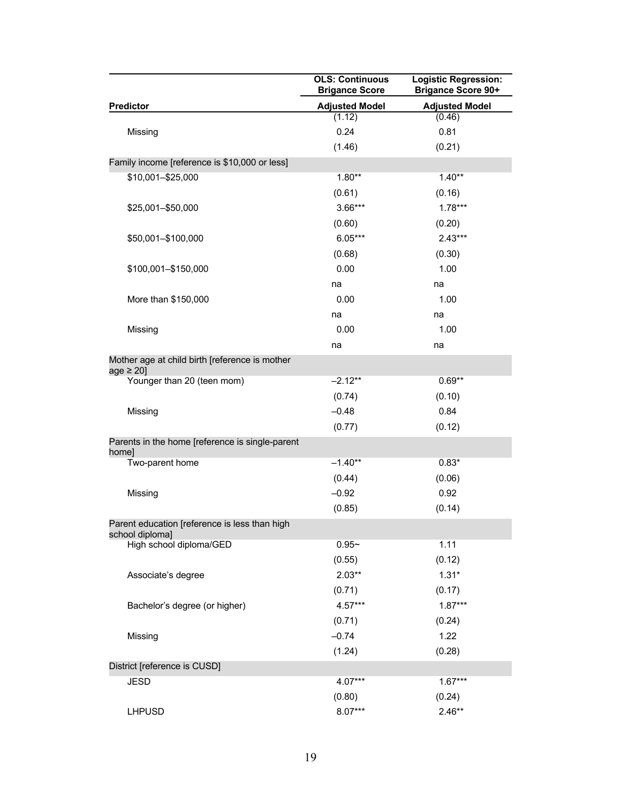|                                                                  | <b>OLS: Continuous</b><br><b>Brigance Score</b> | <b>Logistic Regression:</b><br><b>Brigance Score 90+</b> |
|------------------------------------------------------------------|-------------------------------------------------|----------------------------------------------------------|
| Predictor                                                        | <b>Adjusted Model</b>                           | <b>Adjusted Model</b>                                    |
|                                                                  | (1.12)                                          | (0.46)                                                   |
| Missing                                                          | 0.24                                            | 0.81                                                     |
|                                                                  | (1.46)                                          | (0.21)                                                   |
| Family income [reference is \$10,000 or less]                    |                                                 |                                                          |
| \$10,001-\$25,000                                                | $1.80**$                                        | $1.40**$                                                 |
|                                                                  | (0.61)                                          | (0.16)                                                   |
| \$25,001-\$50,000                                                | $3.66***$                                       | $1.78***$                                                |
|                                                                  | (0.60)                                          | (0.20)                                                   |
| \$50,001-\$100,000                                               | $6.05***$                                       | $2.43***$                                                |
|                                                                  | (0.68)                                          | (0.30)                                                   |
| \$100,001-\$150,000                                              | 0.00                                            | 1.00                                                     |
|                                                                  | na                                              | na                                                       |
| More than \$150,000                                              | 0.00                                            | 1.00                                                     |
|                                                                  | na                                              | na                                                       |
| Missing                                                          | 0.00                                            | 1.00                                                     |
|                                                                  | na                                              | na                                                       |
| Mother age at child birth [reference is mother                   |                                                 |                                                          |
| age $\geq 20$ ]<br>Younger than 20 (teen mom)                    | $-2.12**$                                       | $0.69**$                                                 |
|                                                                  | (0.74)                                          | (0.10)                                                   |
| Missing                                                          | $-0.48$                                         | 0.84                                                     |
|                                                                  | (0.77)                                          | (0.12)                                                   |
| Parents in the home [reference is single-parent                  |                                                 |                                                          |
| home]                                                            |                                                 |                                                          |
| Two-parent home                                                  | $-1.40**$                                       | $0.83*$                                                  |
|                                                                  | (0.44)                                          | (0.06)                                                   |
| Missing                                                          | $-0.92$                                         | 0.92                                                     |
|                                                                  | (0.85)                                          | (0.14)                                                   |
| Parent education [reference is less than high<br>school diploma] |                                                 |                                                          |
| High school diploma/GED                                          | $0.95 -$                                        | 1.11                                                     |
|                                                                  | (0.55)                                          | (0.12)                                                   |
| Associate's degree                                               | $2.03**$                                        | $1.31*$                                                  |
|                                                                  | (0.71)                                          | (0.17)                                                   |
| Bachelor's degree (or higher)                                    | $4.57***$                                       | $1.87***$                                                |
|                                                                  | (0.71)                                          | (0.24)                                                   |
| Missing                                                          | $-0.74$                                         | 1.22                                                     |
|                                                                  | (1.24)                                          | (0.28)                                                   |
| District [reference is CUSD]                                     |                                                 |                                                          |
| <b>JESD</b>                                                      | $4.07***$                                       | $1.67***$                                                |
|                                                                  | (0.80)                                          | (0.24)                                                   |
| <b>LHPUSD</b>                                                    | $8.07***$                                       | $2.46**$                                                 |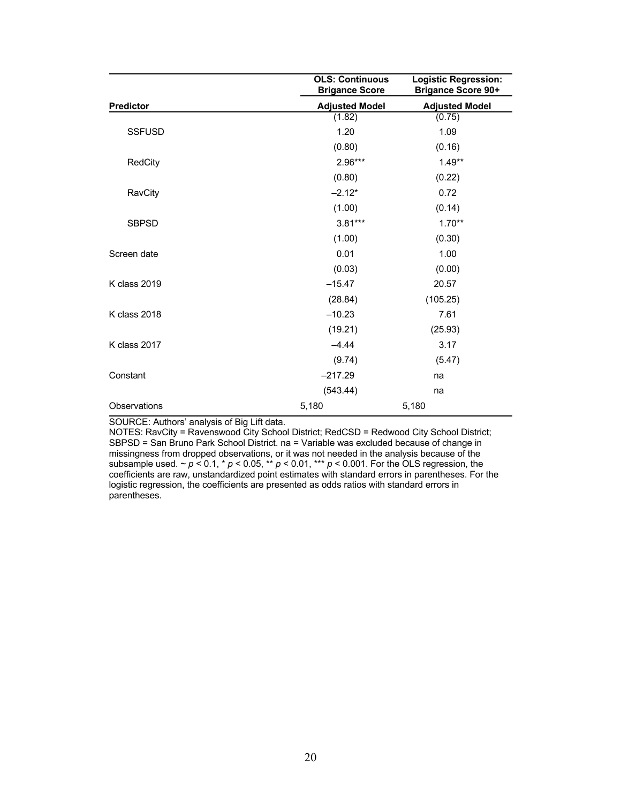|                  | <b>OLS: Continuous</b><br><b>Brigance Score</b> | <b>Logistic Regression:</b><br><b>Brigance Score 90+</b> |
|------------------|-------------------------------------------------|----------------------------------------------------------|
| <b>Predictor</b> | <b>Adjusted Model</b>                           | <b>Adjusted Model</b>                                    |
|                  | (1.82)                                          | (0.75)                                                   |
| <b>SSFUSD</b>    | 1.20                                            | 1.09                                                     |
|                  | (0.80)                                          | (0.16)                                                   |
| <b>RedCity</b>   | 2.96***                                         | $1.49**$                                                 |
|                  | (0.80)                                          | (0.22)                                                   |
| RavCity          | $-2.12*$                                        | 0.72                                                     |
|                  | (1.00)                                          | (0.14)                                                   |
| <b>SBPSD</b>     | $3.81***$                                       | $1.70**$                                                 |
|                  | (1.00)                                          | (0.30)                                                   |
| Screen date      | 0.01                                            | 1.00                                                     |
|                  | (0.03)                                          | (0.00)                                                   |
| K class 2019     | $-15.47$                                        | 20.57                                                    |
|                  | (28.84)                                         | (105.25)                                                 |
| K class 2018     | $-10.23$                                        | 7.61                                                     |
|                  | (19.21)                                         | (25.93)                                                  |
| K class 2017     | $-4.44$                                         | 3.17                                                     |
|                  | (9.74)                                          | (5.47)                                                   |
| Constant         | $-217.29$                                       | na                                                       |
|                  | (543.44)                                        | na                                                       |
| Observations     | 5,180                                           | 5,180                                                    |

SOURCE: Authors' analysis of Big Lift data.

NOTES: RavCity = Ravenswood City School District; RedCSD = Redwood City School District; SBPSD = San Bruno Park School District. na = Variable was excluded because of change in missingness from dropped observations, or it was not needed in the analysis because of the subsample used. ~ *p* < 0.1, \* *p* < 0.05, \*\* *p* < 0.01, \*\*\* *p* < 0.001. For the OLS regression, the coefficients are raw, unstandardized point estimates with standard errors in parentheses. For the logistic regression, the coefficients are presented as odds ratios with standard errors in parentheses.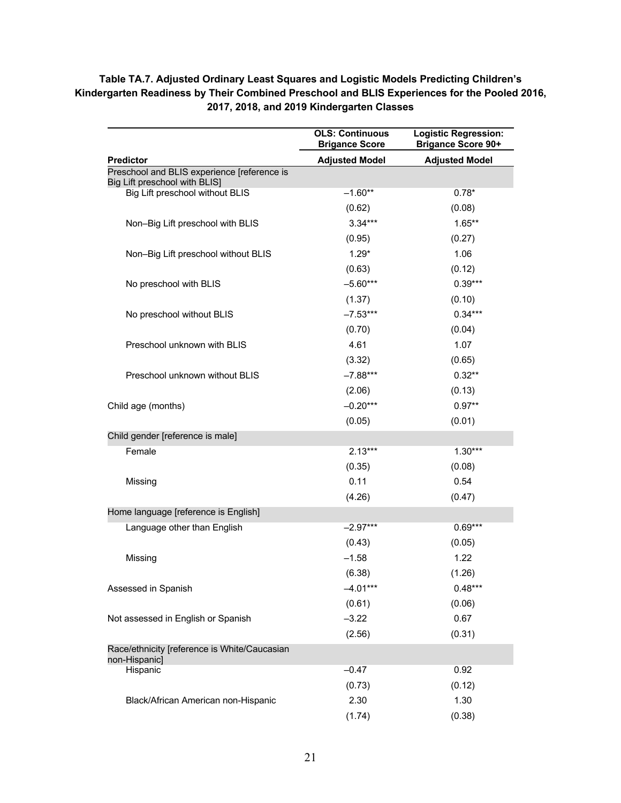|                                                                  | <b>OLS: Continuous</b><br><b>Brigance Score</b> | <b>Logistic Regression:</b><br><b>Brigance Score 90+</b> |
|------------------------------------------------------------------|-------------------------------------------------|----------------------------------------------------------|
| <b>Predictor</b>                                                 | <b>Adjusted Model</b>                           | <b>Adjusted Model</b>                                    |
| Preschool and BLIS experience [reference is                      |                                                 |                                                          |
| Big Lift preschool with BLIS]<br>Big Lift preschool without BLIS | $-1.60**$                                       | $0.78*$                                                  |
|                                                                  | (0.62)                                          | (0.08)                                                   |
| Non-Big Lift preschool with BLIS                                 | $3.34***$                                       | $1.65***$                                                |
|                                                                  | (0.95)                                          | (0.27)                                                   |
| Non-Big Lift preschool without BLIS                              | $1.29*$                                         | 1.06                                                     |
|                                                                  | (0.63)                                          | (0.12)                                                   |
| No preschool with BLIS                                           | $-5.60***$                                      | $0.39***$                                                |
|                                                                  | (1.37)                                          | (0.10)                                                   |
| No preschool without BLIS                                        | $-7.53***$                                      | $0.34***$                                                |
|                                                                  | (0.70)                                          | (0.04)                                                   |
| Preschool unknown with BLIS                                      | 4.61                                            | 1.07                                                     |
|                                                                  | (3.32)                                          | (0.65)                                                   |
| Preschool unknown without BLIS                                   | $-7.88***$                                      | $0.32***$                                                |
|                                                                  | (2.06)                                          | (0.13)                                                   |
| Child age (months)                                               | $-0.20***$                                      | $0.97**$                                                 |
|                                                                  | (0.05)                                          | (0.01)                                                   |
| Child gender [reference is male]                                 |                                                 |                                                          |
| Female                                                           | $2.13***$                                       | $1.30***$                                                |
|                                                                  | (0.35)                                          | (0.08)                                                   |
| Missing                                                          | 0.11                                            | 0.54                                                     |
|                                                                  | (4.26)                                          | (0.47)                                                   |
| Home language [reference is English]                             |                                                 |                                                          |
| Language other than English                                      | $-2.97***$                                      | $0.69***$                                                |
|                                                                  | (0.43)                                          | (0.05)                                                   |
| Missing                                                          | $-1.58$                                         | 1.22                                                     |
|                                                                  | (6.38)                                          | (1.26)                                                   |
| Assessed in Spanish                                              | $-4.01***$                                      | $0.48***$                                                |
|                                                                  | (0.61)                                          | (0.06)                                                   |
| Not assessed in English or Spanish                               | $-3.22$                                         | 0.67                                                     |
|                                                                  | (2.56)                                          | (0.31)                                                   |
| Race/ethnicity [reference is White/Caucasian<br>non-Hispanic]    |                                                 |                                                          |
| Hispanic                                                         | $-0.47$                                         | 0.92                                                     |
|                                                                  | (0.73)                                          | (0.12)                                                   |
| Black/African American non-Hispanic                              | 2.30                                            | 1.30                                                     |
|                                                                  | (1.74)                                          | (0.38)                                                   |

**Table TA.7. Adjusted Ordinary Least Squares and Logistic Models Predicting Children's Kindergarten Readiness by Their Combined Preschool and BLIS Experiences for the Pooled 2016, 2017, 2018, and 2019 Kindergarten Classes**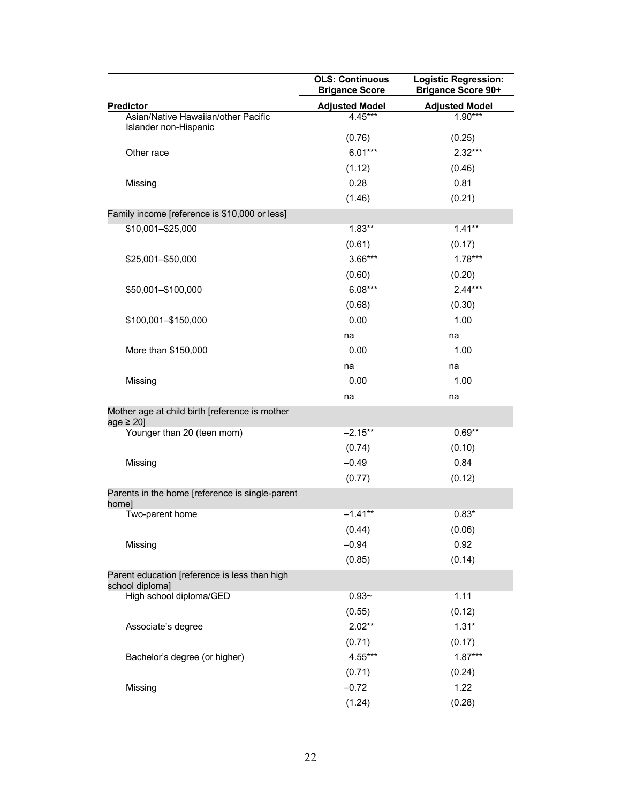|                                                                   | <b>OLS: Continuous</b><br><b>Brigance Score</b> | <b>Logistic Regression:</b><br><b>Brigance Score 90+</b> |
|-------------------------------------------------------------------|-------------------------------------------------|----------------------------------------------------------|
| <b>Predictor</b>                                                  | <b>Adjusted Model</b>                           | <b>Adjusted Model</b>                                    |
| Asian/Native Hawaiian/other Pacific<br>Islander non-Hispanic      | 4.45***                                         | $1.90***$                                                |
|                                                                   | (0.76)                                          | (0.25)                                                   |
| Other race                                                        | $6.01***$                                       | $2.32***$                                                |
|                                                                   | (1.12)                                          | (0.46)                                                   |
| Missing                                                           | 0.28                                            | 0.81                                                     |
|                                                                   | (1.46)                                          | (0.21)                                                   |
| Family income [reference is \$10,000 or less]                     |                                                 |                                                          |
| \$10,001-\$25,000                                                 | $1.83***$                                       | $1.41**$                                                 |
|                                                                   | (0.61)                                          | (0.17)                                                   |
| \$25,001-\$50,000                                                 | $3.66***$                                       | $1.78***$                                                |
|                                                                   | (0.60)                                          | (0.20)                                                   |
| \$50,001-\$100,000                                                | $6.08***$                                       | $2.44***$                                                |
|                                                                   | (0.68)                                          | (0.30)                                                   |
| \$100,001-\$150,000                                               | 0.00                                            | 1.00                                                     |
|                                                                   | na                                              | na                                                       |
| More than \$150,000                                               | 0.00                                            | 1.00                                                     |
|                                                                   | na                                              | na                                                       |
| Missing                                                           | 0.00                                            | 1.00                                                     |
|                                                                   | na                                              | na                                                       |
| Mother age at child birth [reference is mother<br>age $\geq 20$ ] |                                                 |                                                          |
| Younger than 20 (teen mom)                                        | $-2.15**$                                       | $0.69**$                                                 |
|                                                                   | (0.74)                                          | (0.10)                                                   |
| Missing                                                           | $-0.49$                                         | 0.84                                                     |
|                                                                   | (0.77)                                          | (0.12)                                                   |
| Parents in the home [reference is single-parent<br>home]          |                                                 |                                                          |
| Two-parent home                                                   | $-1.41**$                                       | $0.83*$                                                  |
|                                                                   | (0.44)                                          | (0.06)                                                   |
| Missing                                                           | $-0.94$                                         | 0.92                                                     |
|                                                                   | (0.85)                                          | (0.14)                                                   |
| Parent education [reference is less than high<br>school diploma]  |                                                 |                                                          |
| High school diploma/GED                                           | $0.93 -$                                        | 1.11                                                     |
|                                                                   | (0.55)                                          | (0.12)                                                   |
| Associate's degree                                                | $2.02**$                                        | $1.31*$                                                  |
|                                                                   | (0.71)                                          | (0.17)                                                   |
| Bachelor's degree (or higher)                                     | 4.55***                                         | $1.87***$                                                |
|                                                                   | (0.71)                                          | (0.24)                                                   |
| Missing                                                           | $-0.72$                                         | 1.22                                                     |
|                                                                   | (1.24)                                          | (0.28)                                                   |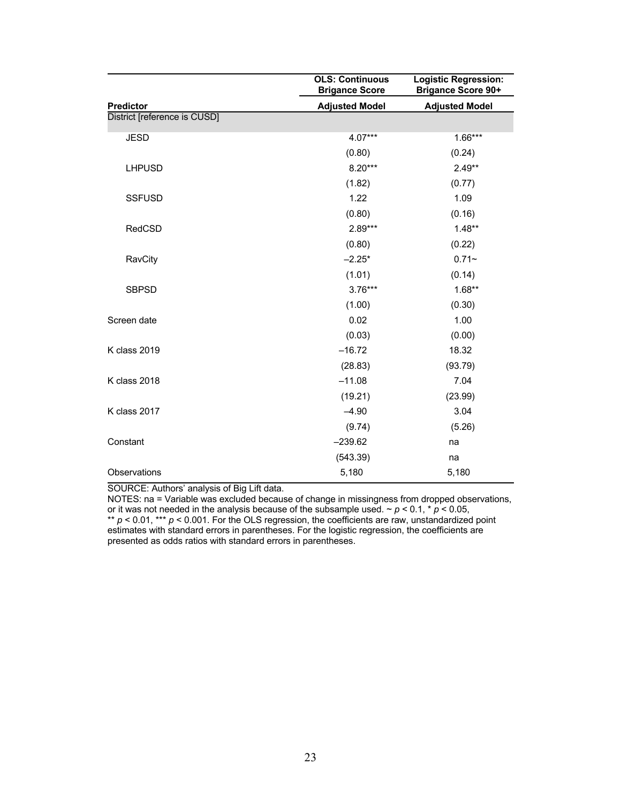|                              | <b>OLS: Continuous</b><br><b>Brigance Score</b> | <b>Logistic Regression:</b><br><b>Brigance Score 90+</b> |
|------------------------------|-------------------------------------------------|----------------------------------------------------------|
| <b>Predictor</b>             | <b>Adjusted Model</b>                           | <b>Adjusted Model</b>                                    |
| District [reference is CUSD] |                                                 |                                                          |
| <b>JESD</b>                  | $4.07***$                                       | $1.66***$                                                |
|                              | (0.80)                                          | (0.24)                                                   |
| <b>LHPUSD</b>                | $8.20***$                                       | $2.49**$                                                 |
|                              | (1.82)                                          | (0.77)                                                   |
| <b>SSFUSD</b>                | 1.22                                            | 1.09                                                     |
|                              | (0.80)                                          | (0.16)                                                   |
| <b>RedCSD</b>                | $2.89***$                                       | $1.48**$                                                 |
|                              | (0.80)                                          | (0.22)                                                   |
| RavCity                      | $-2.25*$                                        | $0.71 -$                                                 |
|                              | (1.01)                                          | (0.14)                                                   |
| <b>SBPSD</b>                 | $3.76***$                                       | $1.68**$                                                 |
|                              | (1.00)                                          | (0.30)                                                   |
| Screen date                  | 0.02                                            | 1.00                                                     |
|                              | (0.03)                                          | (0.00)                                                   |
| K class 2019                 | $-16.72$                                        | 18.32                                                    |
|                              | (28.83)                                         | (93.79)                                                  |
| K class 2018                 | $-11.08$                                        | 7.04                                                     |
|                              | (19.21)                                         | (23.99)                                                  |
| K class 2017                 | $-4.90$                                         | 3.04                                                     |
|                              | (9.74)                                          | (5.26)                                                   |
| Constant                     | $-239.62$                                       | na                                                       |
|                              | (543.39)                                        | na                                                       |
| Observations                 | 5,180                                           | 5,180                                                    |

SOURCE: Authors' analysis of Big Lift data.

NOTES: na = Variable was excluded because of change in missingness from dropped observations, or it was not needed in the analysis because of the subsample used.  $\sim p < 0.1$ ,  $\star p < 0.05$ , \*\* *p* < 0.01, \*\*\* *p* < 0.001. For the OLS regression, the coefficients are raw, unstandardized point estimates with standard errors in parentheses. For the logistic regression, the coefficients are presented as odds ratios with standard errors in parentheses.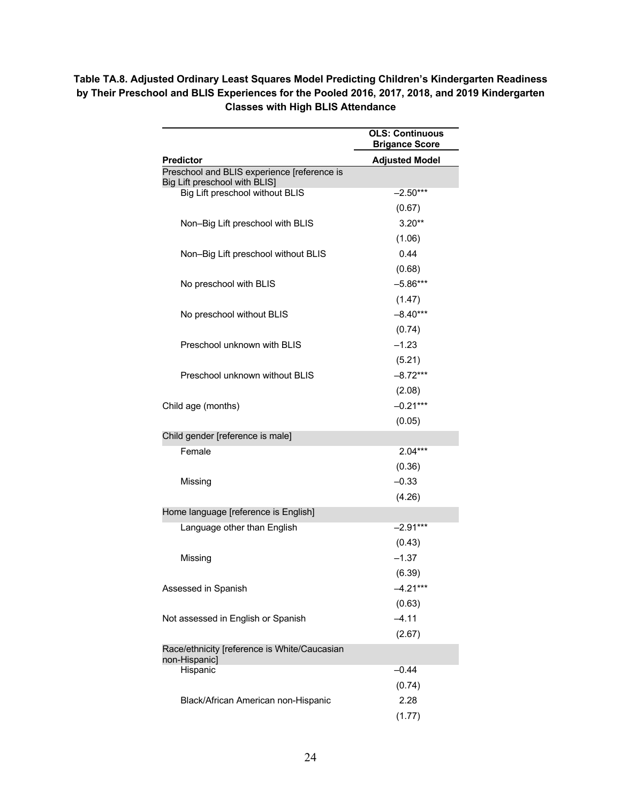# **Table TA.8. Adjusted Ordinary Least Squares Model Predicting Children's Kindergarten Readiness by Their Preschool and BLIS Experiences for the Pooled 2016, 2017, 2018, and 2019 Kindergarten Classes with High BLIS Attendance**

|                                                                              | <b>OLS: Continuous</b><br><b>Brigance Score</b> |
|------------------------------------------------------------------------------|-------------------------------------------------|
| Predictor                                                                    | <b>Adjusted Model</b>                           |
| Preschool and BLIS experience [reference is<br>Big Lift preschool with BLIS] |                                                 |
| Big Lift preschool without BLIS                                              | $-2.50***$                                      |
|                                                                              | (0.67)                                          |
| Non-Big Lift preschool with BLIS                                             | $3.20**$                                        |
|                                                                              | (1.06)                                          |
| Non-Big Lift preschool without BLIS                                          | 0.44                                            |
|                                                                              | (0.68)                                          |
| No preschool with BLIS                                                       | $-5.86***$                                      |
|                                                                              | (1.47)                                          |
| No preschool without BLIS                                                    | $-8.40***$                                      |
|                                                                              | (0.74)                                          |
| Preschool unknown with BLIS                                                  | $-1.23$                                         |
|                                                                              | (5.21)                                          |
| Preschool unknown without BLIS                                               | $-8.72***$                                      |
|                                                                              | (2.08)                                          |
| Child age (months)                                                           | $-0.21***$                                      |
|                                                                              | (0.05)                                          |
| Child gender [reference is male]                                             |                                                 |
| Female                                                                       | $2.04***$                                       |
|                                                                              | (0.36)                                          |
| Missing                                                                      | $-0.33$                                         |
|                                                                              | (4.26)                                          |
| Home language [reference is English]                                         |                                                 |
| Language other than English                                                  | $-2.91***$                                      |
|                                                                              | (0.43)                                          |
| Missing                                                                      | $-1.37$                                         |
|                                                                              | (6.39)                                          |
| Assessed in Spanish                                                          | $-4.21***$                                      |
|                                                                              | (0.63)                                          |
| Not assessed in English or Spanish                                           | $-4.11$                                         |
|                                                                              | (2.67)                                          |
| Race/ethnicity [reference is White/Caucasian<br>non-Hispanic]                |                                                 |
| Hispanic                                                                     | $-0.44$                                         |
|                                                                              | (0.74)                                          |
| Black/African American non-Hispanic                                          | 2.28                                            |
|                                                                              | (1.77)                                          |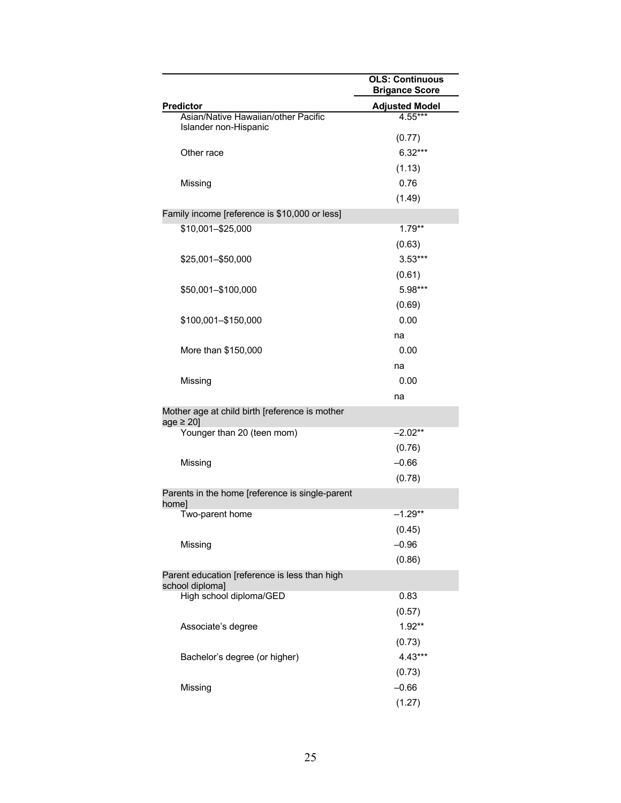|                                                          | <b>OLS: Continuous</b><br><b>Brigance Score</b> |
|----------------------------------------------------------|-------------------------------------------------|
| Predictor                                                | <b>Adjusted Model</b>                           |
| Asian/Native Hawaiian/other Pacific                      | $4.55***$                                       |
| Islander non-Hispanic                                    | (0.77)                                          |
| Other race                                               | $6.32***$                                       |
|                                                          | (1.13)                                          |
| Missing                                                  | 0.76                                            |
|                                                          | (1.49)                                          |
| Family income [reference is \$10,000 or less]            |                                                 |
| \$10,001-\$25,000                                        | $1.79**$                                        |
|                                                          | (0.63)                                          |
| \$25,001-\$50,000                                        | $3.53***$                                       |
|                                                          | (0.61)                                          |
| \$50,001-\$100,000                                       | 5.98***                                         |
|                                                          | (0.69)                                          |
| \$100,001-\$150,000                                      | 0.00                                            |
|                                                          | na                                              |
| More than \$150,000                                      | 0.00                                            |
|                                                          | na                                              |
| Missing                                                  | 0.00                                            |
|                                                          | na                                              |
| Mother age at child birth [reference is mother           |                                                 |
| age ≥ 20]                                                |                                                 |
| Younger than 20 (teen mom)                               | $-2.02**$                                       |
|                                                          | (0.76)                                          |
| Missing                                                  | $-0.66$                                         |
|                                                          | (0.78)                                          |
| Parents in the home [reference is single-parent<br>home] |                                                 |
| Two-parent home                                          | $-1.29**$                                       |
|                                                          | (0.45)                                          |
| Missing                                                  | $-0.96$                                         |
|                                                          | (0.86)                                          |
| Parent education [reference is less than high            |                                                 |
| school diploma]<br>High school diploma/GED               | 0.83                                            |
|                                                          | (0.57)                                          |
| Associate's degree                                       | $1.92**$                                        |
|                                                          | (0.73)                                          |
| Bachelor's degree (or higher)                            | $4.43***$                                       |
|                                                          | (0.73)                                          |
| Missing                                                  | $-0.66$                                         |
|                                                          | (1.27)                                          |
|                                                          |                                                 |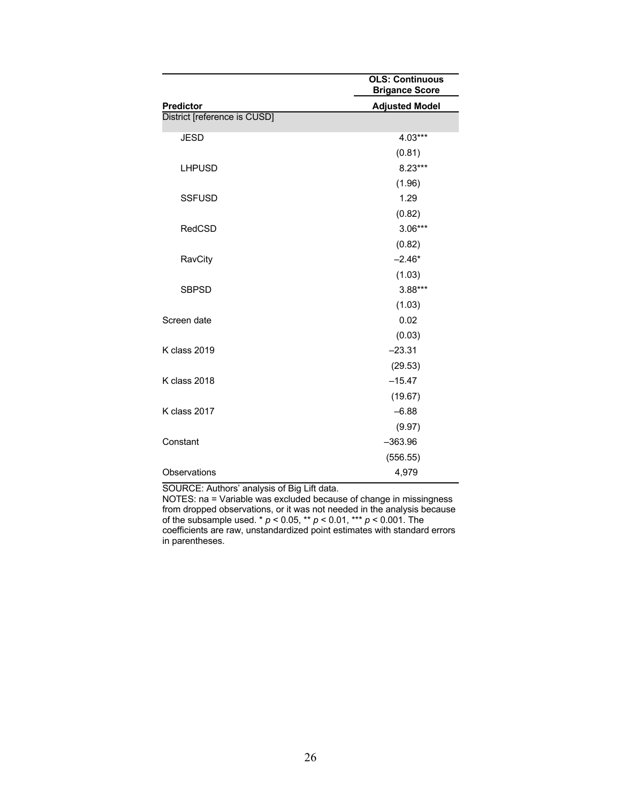|                              | <b>OLS: Continuous</b><br><b>Brigance Score</b> |
|------------------------------|-------------------------------------------------|
| <b>Predictor</b>             | <b>Adjusted Model</b>                           |
| District [reference is CUSD] |                                                 |
| <b>JESD</b>                  | $4.03***$                                       |
|                              | (0.81)                                          |
| <b>LHPUSD</b>                | 8.23***                                         |
|                              | (1.96)                                          |
| <b>SSFUSD</b>                | 1.29                                            |
|                              | (0.82)                                          |
| RedCSD                       | $3.06***$                                       |
|                              | (0.82)                                          |
| RavCity                      | $-2.46*$                                        |
|                              | (1.03)                                          |
| <b>SBPSD</b>                 | 3.88***                                         |
|                              | (1.03)                                          |
| Screen date                  | 0.02                                            |
|                              | (0.03)                                          |
| K class 2019                 | $-23.31$                                        |
|                              | (29.53)                                         |
| K class 2018                 | $-15.47$                                        |
|                              | (19.67)                                         |
| K class 2017                 | $-6.88$                                         |
|                              | (9.97)                                          |
| Constant                     | $-363.96$                                       |
|                              | (556.55)                                        |
| Observations                 | 4,979                                           |

SOURCE: Authors' analysis of Big Lift data.

NOTES: na = Variable was excluded because of change in missingness from dropped observations, or it was not needed in the analysis because of the subsample used. \* *p* < 0.05, \*\* *p* < 0.01, \*\*\* *p* < 0.001. The coefficients are raw, unstandardized point estimates with standard errors in parentheses.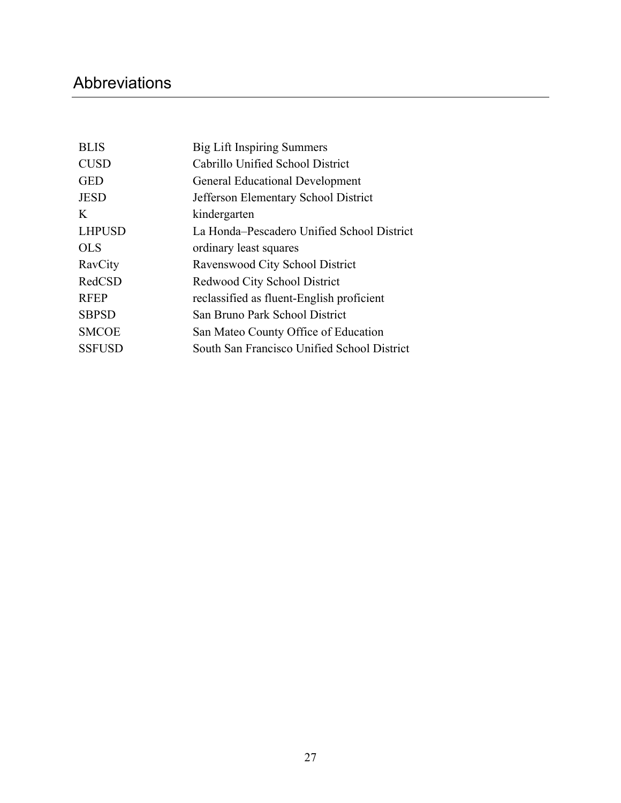# Abbreviations

| <b>Big Lift Inspiring Summers</b>           |
|---------------------------------------------|
| Cabrillo Unified School District            |
| <b>General Educational Development</b>      |
| Jefferson Elementary School District        |
| kindergarten                                |
| La Honda–Pescadero Unified School District  |
| ordinary least squares                      |
| Ravenswood City School District             |
| Redwood City School District                |
| reclassified as fluent-English proficient   |
| San Bruno Park School District              |
| San Mateo County Office of Education        |
| South San Francisco Unified School District |
|                                             |